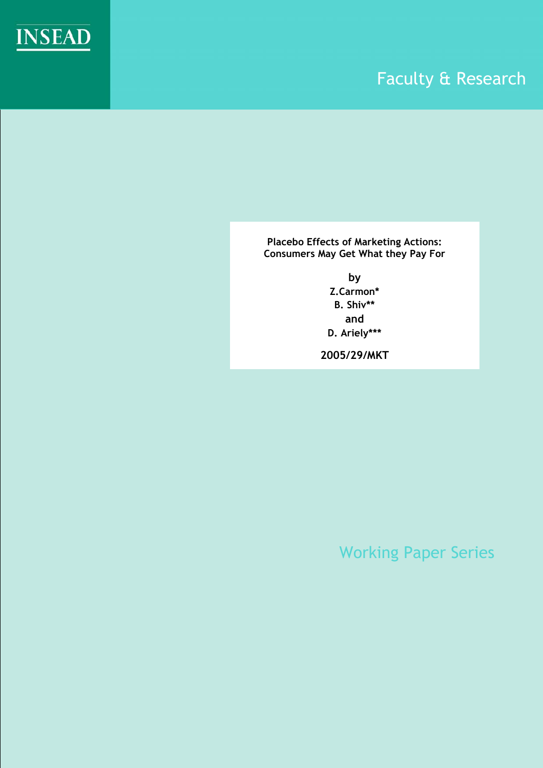

# Faculty & Research

**Placebo Effects of Marketing Actions: Consumers May Get What they Pay For** 

> **by Z.Carmon\* B. Shiv\*\* and D. Ariely\*\*\***

**2005/29/MKT** 

Working Paper Series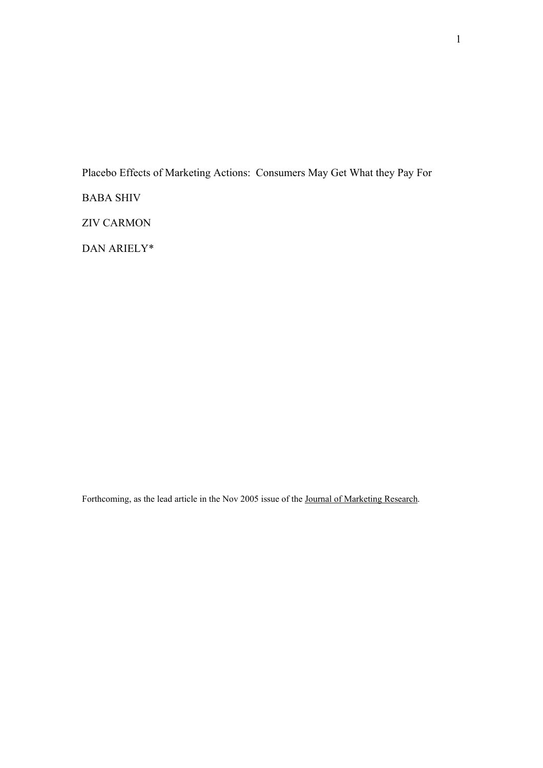Placebo Effects of Marketing Actions: Consumers May Get What they Pay For

BABA SHIV

ZIV CARMON

DAN ARIELY\*

Forthcoming, as the lead article in the Nov 2005 issue of the Journal of Marketing Research.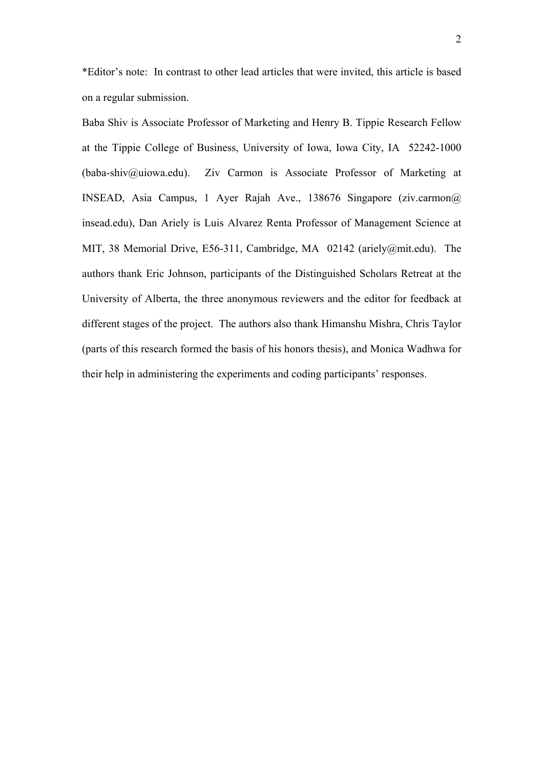\*Editor's note: In contrast to other lead articles that were invited, this article is based on a regular submission.

Baba Shiv is Associate Professor of Marketing and Henry B. Tippie Research Fellow at the Tippie College of Business, University of Iowa, Iowa City, IA 52242-1000 (baba-shiv@uiowa.edu). Ziv Carmon is Associate Professor of Marketing at INSEAD, Asia Campus, 1 Ayer Rajah Ave., 138676 Singapore (ziv.carmon@ insead.edu), Dan Ariely is Luis Alvarez Renta Professor of Management Science at MIT, 38 Memorial Drive, E56-311, Cambridge, MA 02142 (ariely@mit.edu). The authors thank Eric Johnson, participants of the Distinguished Scholars Retreat at the University of Alberta, the three anonymous reviewers and the editor for feedback at different stages of the project. The authors also thank Himanshu Mishra, Chris Taylor (parts of this research formed the basis of his honors thesis), and Monica Wadhwa for their help in administering the experiments and coding participants' responses.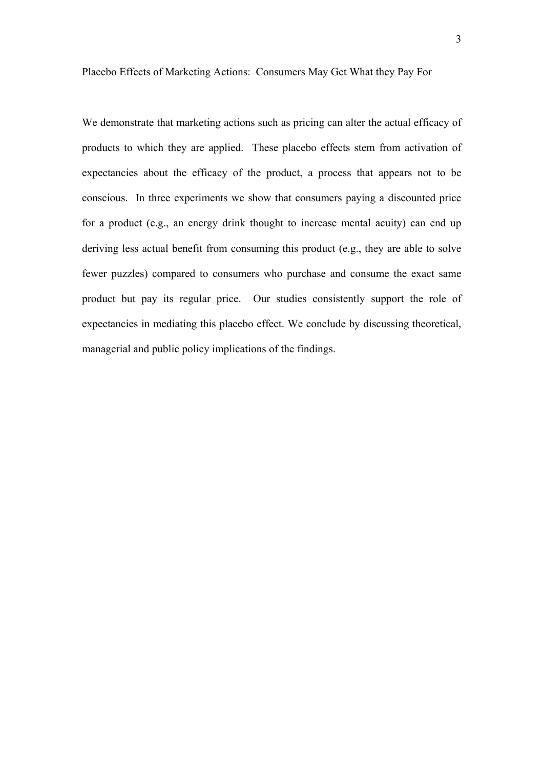Placebo Effects of Marketing Actions: Consumers May Get What they Pay For

We demonstrate that marketing actions such as pricing can alter the actual efficacy of products to which they are applied. These placebo effects stem from activation of expectancies about the efficacy of the product, a process that appears not to be conscious. In three experiments we show that consumers paying a discounted price for a product (e.g., an energy drink thought to increase mental acuity) can end up deriving less actual benefit from consuming this product (e.g., they are able to solve fewer puzzles) compared to consumers who purchase and consume the exact same product but pay its regular price. Our studies consistently support the role of expectancies in mediating this placebo effect. We conclude by discussing theoretical, managerial and public policy implications of the findings.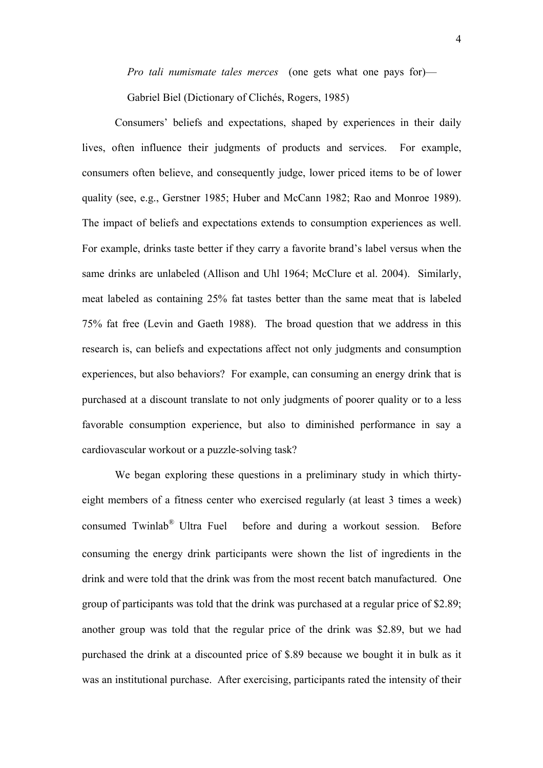*Pro tali numismate tales merces* (one gets what one pays for)—

Gabriel Biel (Dictionary of Clichés, Rogers, 1985)

Consumers' beliefs and expectations, shaped by experiences in their daily lives, often influence their judgments of products and services. For example, consumers often believe, and consequently judge, lower priced items to be of lower quality (see, e.g., Gerstner 1985; Huber and McCann 1982; Rao and Monroe 1989). The impact of beliefs and expectations extends to consumption experiences as well. For example, drinks taste better if they carry a favorite brand's label versus when the same drinks are unlabeled (Allison and Uhl 1964; McClure et al. 2004). Similarly, meat labeled as containing 25% fat tastes better than the same meat that is labeled 75% fat free (Levin and Gaeth 1988). The broad question that we address in this research is, can beliefs and expectations affect not only judgments and consumption experiences, but also behaviors? For example, can consuming an energy drink that is purchased at a discount translate to not only judgments of poorer quality or to a less favorable consumption experience, but also to diminished performance in say a cardiovascular workout or a puzzle-solving task?

We began exploring these questions in a preliminary study in which thirtyeight members of a fitness center who exercised regularly (at least 3 times a week) consumed Twinlab® Ultra Fuel before and during a workout session. Before consuming the energy drink participants were shown the list of ingredients in the drink and were told that the drink was from the most recent batch manufactured. One group of participants was told that the drink was purchased at a regular price of \$2.89; another group was told that the regular price of the drink was \$2.89, but we had purchased the drink at a discounted price of \$.89 because we bought it in bulk as it was an institutional purchase. After exercising, participants rated the intensity of their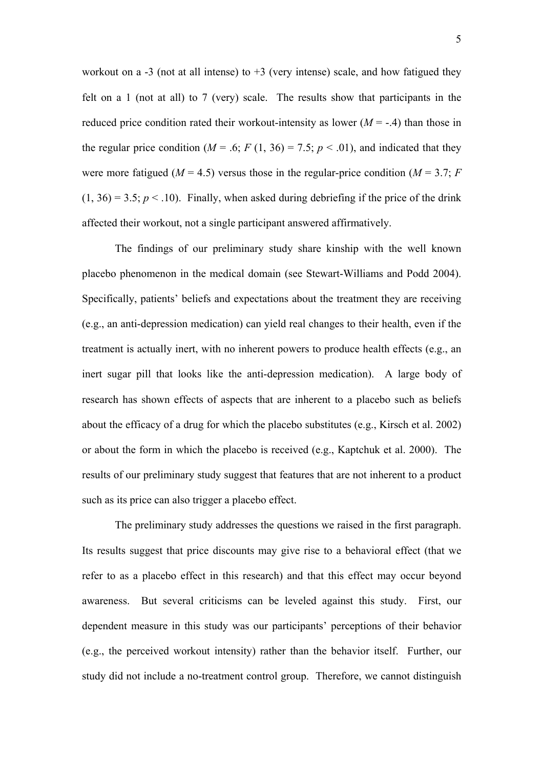workout on a  $-3$  (not at all intense) to  $+3$  (very intense) scale, and how fatigued they felt on a 1 (not at all) to 7 (very) scale. The results show that participants in the reduced price condition rated their workout-intensity as lower  $(M = -0.4)$  than those in the regular price condition ( $M = .6$ ;  $F(1, 36) = 7.5$ ;  $p < .01$ ), and indicated that they were more fatigued ( $M = 4.5$ ) versus those in the regular-price condition ( $M = 3.7$ ; *F*  $(1, 36) = 3.5$ ;  $p < 0.10$ ). Finally, when asked during debriefing if the price of the drink affected their workout, not a single participant answered affirmatively.

The findings of our preliminary study share kinship with the well known placebo phenomenon in the medical domain (see Stewart-Williams and Podd 2004). Specifically, patients' beliefs and expectations about the treatment they are receiving (e.g., an anti-depression medication) can yield real changes to their health, even if the treatment is actually inert, with no inherent powers to produce health effects (e.g., an inert sugar pill that looks like the anti-depression medication). A large body of research has shown effects of aspects that are inherent to a placebo such as beliefs about the efficacy of a drug for which the placebo substitutes (e.g., Kirsch et al. 2002) or about the form in which the placebo is received (e.g., Kaptchuk et al. 2000). The results of our preliminary study suggest that features that are not inherent to a product such as its price can also trigger a placebo effect.

The preliminary study addresses the questions we raised in the first paragraph. Its results suggest that price discounts may give rise to a behavioral effect (that we refer to as a placebo effect in this research) and that this effect may occur beyond awareness. But several criticisms can be leveled against this study. First, our dependent measure in this study was our participants' perceptions of their behavior (e.g., the perceived workout intensity) rather than the behavior itself. Further, our study did not include a no-treatment control group. Therefore, we cannot distinguish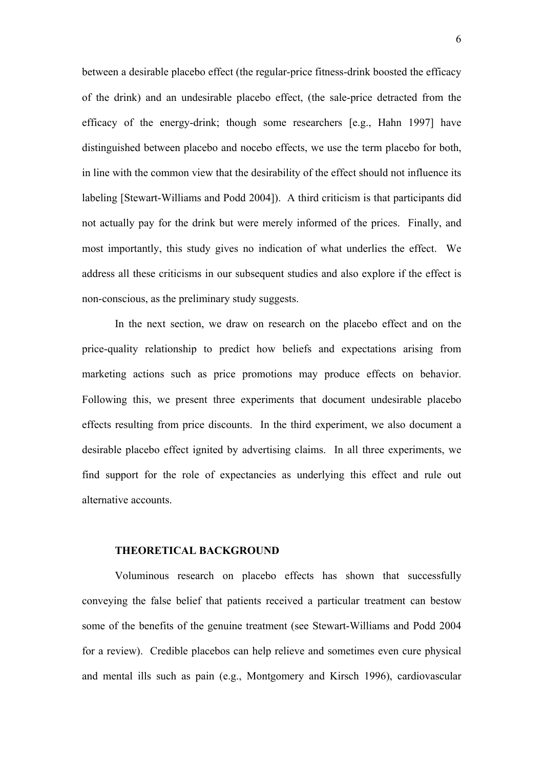between a desirable placebo effect (the regular-price fitness-drink boosted the efficacy of the drink) and an undesirable placebo effect, (the sale-price detracted from the efficacy of the energy-drink; though some researchers [e.g., Hahn 1997] have distinguished between placebo and nocebo effects, we use the term placebo for both, in line with the common view that the desirability of the effect should not influence its labeling [Stewart-Williams and Podd 2004]). A third criticism is that participants did not actually pay for the drink but were merely informed of the prices. Finally, and most importantly, this study gives no indication of what underlies the effect. We address all these criticisms in our subsequent studies and also explore if the effect is non-conscious, as the preliminary study suggests.

In the next section, we draw on research on the placebo effect and on the price-quality relationship to predict how beliefs and expectations arising from marketing actions such as price promotions may produce effects on behavior. Following this, we present three experiments that document undesirable placebo effects resulting from price discounts. In the third experiment, we also document a desirable placebo effect ignited by advertising claims. In all three experiments, we find support for the role of expectancies as underlying this effect and rule out alternative accounts.

#### **THEORETICAL BACKGROUND**

Voluminous research on placebo effects has shown that successfully conveying the false belief that patients received a particular treatment can bestow some of the benefits of the genuine treatment (see Stewart-Williams and Podd 2004 for a review). Credible placebos can help relieve and sometimes even cure physical and mental ills such as pain (e.g., Montgomery and Kirsch 1996), cardiovascular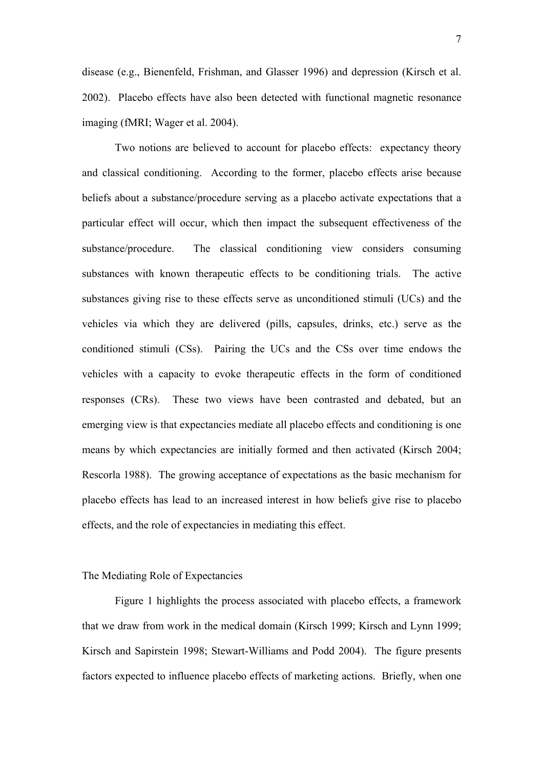disease (e.g., Bienenfeld, Frishman, and Glasser 1996) and depression (Kirsch et al. 2002). Placebo effects have also been detected with functional magnetic resonance imaging (fMRI; Wager et al. 2004).

Two notions are believed to account for placebo effects: expectancy theory and classical conditioning. According to the former, placebo effects arise because beliefs about a substance/procedure serving as a placebo activate expectations that a particular effect will occur, which then impact the subsequent effectiveness of the substance/procedure. The classical conditioning view considers consuming substances with known therapeutic effects to be conditioning trials. The active substances giving rise to these effects serve as unconditioned stimuli (UCs) and the vehicles via which they are delivered (pills, capsules, drinks, etc.) serve as the conditioned stimuli (CSs). Pairing the UCs and the CSs over time endows the vehicles with a capacity to evoke therapeutic effects in the form of conditioned responses (CRs). These two views have been contrasted and debated, but an emerging view is that expectancies mediate all placebo effects and conditioning is one means by which expectancies are initially formed and then activated (Kirsch 2004; Rescorla 1988). The growing acceptance of expectations as the basic mechanism for placebo effects has lead to an increased interest in how beliefs give rise to placebo effects, and the role of expectancies in mediating this effect.

# The Mediating Role of Expectancies

Figure 1 highlights the process associated with placebo effects, a framework that we draw from work in the medical domain (Kirsch 1999; Kirsch and Lynn 1999; Kirsch and Sapirstein 1998; Stewart-Williams and Podd 2004). The figure presents factors expected to influence placebo effects of marketing actions. Briefly, when one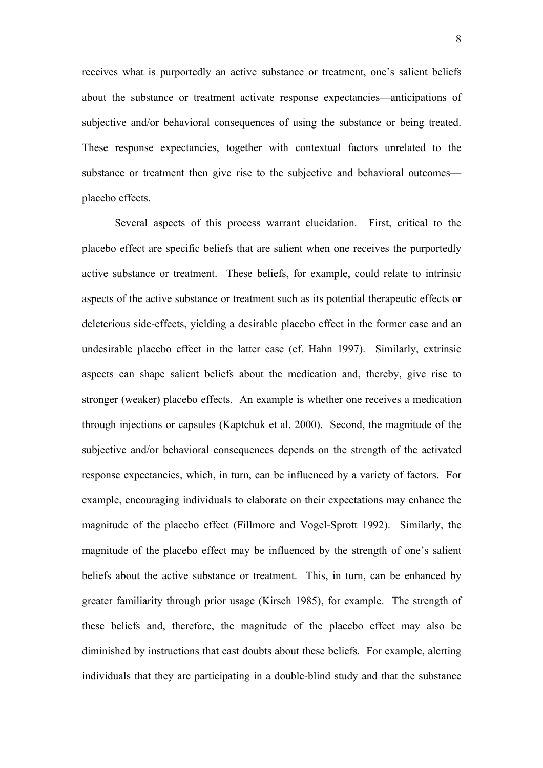receives what is purportedly an active substance or treatment, one's salient beliefs about the substance or treatment activate response expectancies—anticipations of subjective and/or behavioral consequences of using the substance or being treated. These response expectancies, together with contextual factors unrelated to the substance or treatment then give rise to the subjective and behavioral outcomes placebo effects.

Several aspects of this process warrant elucidation. First, critical to the placebo effect are specific beliefs that are salient when one receives the purportedly active substance or treatment. These beliefs, for example, could relate to intrinsic aspects of the active substance or treatment such as its potential therapeutic effects or deleterious side-effects, yielding a desirable placebo effect in the former case and an undesirable placebo effect in the latter case (cf. Hahn 1997). Similarly, extrinsic aspects can shape salient beliefs about the medication and, thereby, give rise to stronger (weaker) placebo effects. An example is whether one receives a medication through injections or capsules (Kaptchuk et al. 2000). Second, the magnitude of the subjective and/or behavioral consequences depends on the strength of the activated response expectancies, which, in turn, can be influenced by a variety of factors. For example, encouraging individuals to elaborate on their expectations may enhance the magnitude of the placebo effect (Fillmore and Vogel-Sprott 1992). Similarly, the magnitude of the placebo effect may be influenced by the strength of one's salient beliefs about the active substance or treatment. This, in turn, can be enhanced by greater familiarity through prior usage (Kirsch 1985), for example. The strength of these beliefs and, therefore, the magnitude of the placebo effect may also be diminished by instructions that cast doubts about these beliefs. For example, alerting individuals that they are participating in a double-blind study and that the substance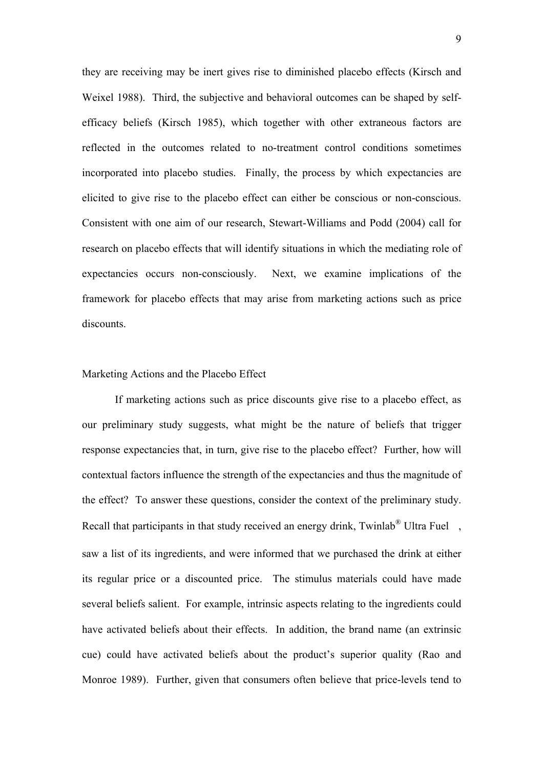they are receiving may be inert gives rise to diminished placebo effects (Kirsch and Weixel 1988). Third, the subjective and behavioral outcomes can be shaped by selfefficacy beliefs (Kirsch 1985), which together with other extraneous factors are reflected in the outcomes related to no-treatment control conditions sometimes incorporated into placebo studies. Finally, the process by which expectancies are elicited to give rise to the placebo effect can either be conscious or non-conscious. Consistent with one aim of our research, Stewart-Williams and Podd (2004) call for research on placebo effects that will identify situations in which the mediating role of expectancies occurs non-consciously. Next, we examine implications of the framework for placebo effects that may arise from marketing actions such as price discounts.

# Marketing Actions and the Placebo Effect

 If marketing actions such as price discounts give rise to a placebo effect, as our preliminary study suggests, what might be the nature of beliefs that trigger response expectancies that, in turn, give rise to the placebo effect? Further, how will contextual factors influence the strength of the expectancies and thus the magnitude of the effect? To answer these questions, consider the context of the preliminary study. Recall that participants in that study received an energy drink, Twinlab<sup>®</sup> Ultra Fuel, saw a list of its ingredients, and were informed that we purchased the drink at either its regular price or a discounted price. The stimulus materials could have made several beliefs salient. For example, intrinsic aspects relating to the ingredients could have activated beliefs about their effects. In addition, the brand name (an extrinsic cue) could have activated beliefs about the product's superior quality (Rao and Monroe 1989). Further, given that consumers often believe that price-levels tend to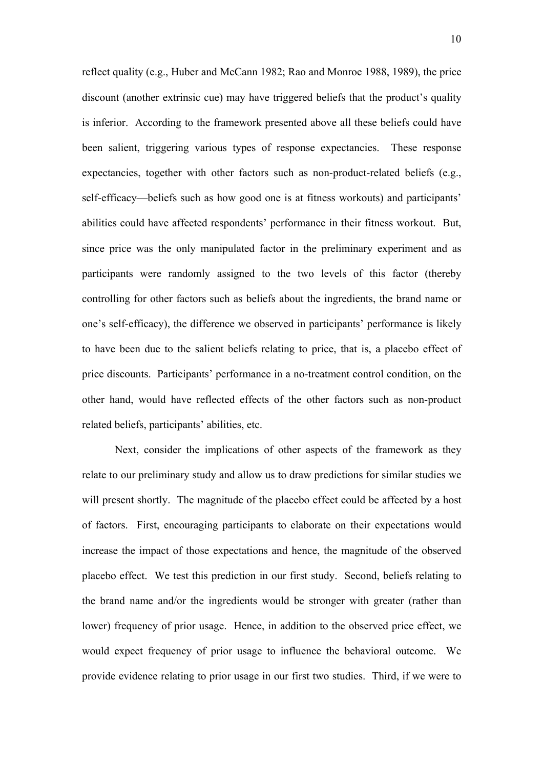reflect quality (e.g., Huber and McCann 1982; Rao and Monroe 1988, 1989), the price discount (another extrinsic cue) may have triggered beliefs that the product's quality is inferior. According to the framework presented above all these beliefs could have been salient, triggering various types of response expectancies. These response expectancies, together with other factors such as non-product-related beliefs (e.g., self-efficacy—beliefs such as how good one is at fitness workouts) and participants' abilities could have affected respondents' performance in their fitness workout. But, since price was the only manipulated factor in the preliminary experiment and as participants were randomly assigned to the two levels of this factor (thereby controlling for other factors such as beliefs about the ingredients, the brand name or one's self-efficacy), the difference we observed in participants' performance is likely to have been due to the salient beliefs relating to price, that is, a placebo effect of price discounts. Participants' performance in a no-treatment control condition, on the other hand, would have reflected effects of the other factors such as non-product related beliefs, participants' abilities, etc.

 Next, consider the implications of other aspects of the framework as they relate to our preliminary study and allow us to draw predictions for similar studies we will present shortly. The magnitude of the placebo effect could be affected by a host of factors. First, encouraging participants to elaborate on their expectations would increase the impact of those expectations and hence, the magnitude of the observed placebo effect. We test this prediction in our first study. Second, beliefs relating to the brand name and/or the ingredients would be stronger with greater (rather than lower) frequency of prior usage. Hence, in addition to the observed price effect, we would expect frequency of prior usage to influence the behavioral outcome. We provide evidence relating to prior usage in our first two studies. Third, if we were to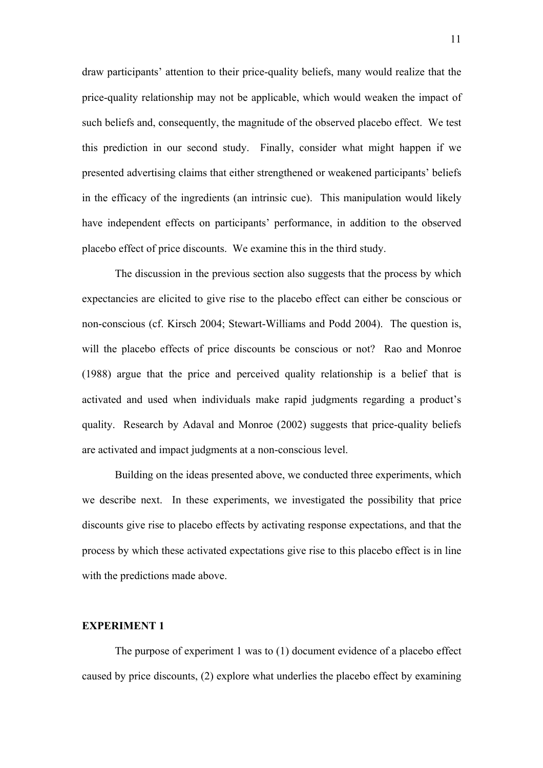draw participants' attention to their price-quality beliefs, many would realize that the price-quality relationship may not be applicable, which would weaken the impact of such beliefs and, consequently, the magnitude of the observed placebo effect. We test this prediction in our second study. Finally, consider what might happen if we presented advertising claims that either strengthened or weakened participants' beliefs in the efficacy of the ingredients (an intrinsic cue). This manipulation would likely have independent effects on participants' performance, in addition to the observed placebo effect of price discounts. We examine this in the third study.

The discussion in the previous section also suggests that the process by which expectancies are elicited to give rise to the placebo effect can either be conscious or non-conscious (cf. Kirsch 2004; Stewart-Williams and Podd 2004). The question is, will the placebo effects of price discounts be conscious or not? Rao and Monroe (1988) argue that the price and perceived quality relationship is a belief that is activated and used when individuals make rapid judgments regarding a product's quality. Research by Adaval and Monroe (2002) suggests that price-quality beliefs are activated and impact judgments at a non-conscious level.

Building on the ideas presented above, we conducted three experiments, which we describe next. In these experiments, we investigated the possibility that price discounts give rise to placebo effects by activating response expectations, and that the process by which these activated expectations give rise to this placebo effect is in line with the predictions made above.

# **EXPERIMENT 1**

The purpose of experiment 1 was to (1) document evidence of a placebo effect caused by price discounts, (2) explore what underlies the placebo effect by examining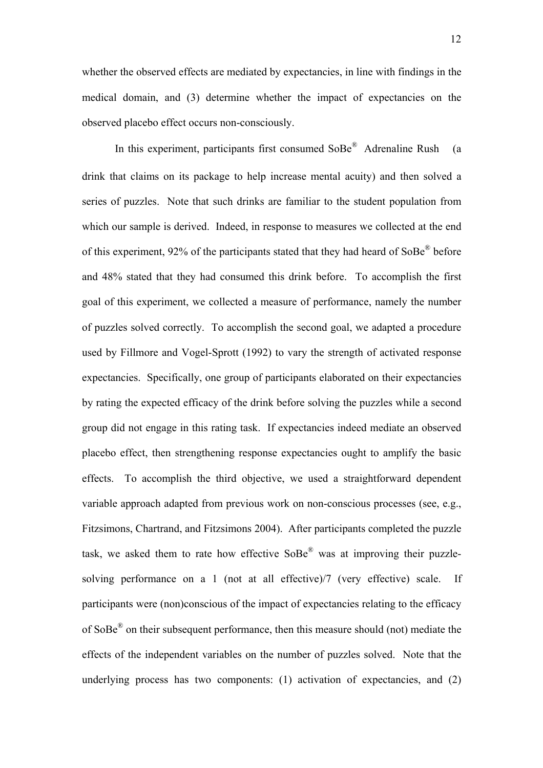whether the observed effects are mediated by expectancies, in line with findings in the medical domain, and (3) determine whether the impact of expectancies on the observed placebo effect occurs non-consciously.

In this experiment, participants first consumed SoBe® Adrenaline Rush (a drink that claims on its package to help increase mental acuity) and then solved a series of puzzles. Note that such drinks are familiar to the student population from which our sample is derived. Indeed, in response to measures we collected at the end of this experiment, 92% of the participants stated that they had heard of SoBe® before and 48% stated that they had consumed this drink before. To accomplish the first goal of this experiment, we collected a measure of performance, namely the number of puzzles solved correctly. To accomplish the second goal, we adapted a procedure used by Fillmore and Vogel-Sprott (1992) to vary the strength of activated response expectancies. Specifically, one group of participants elaborated on their expectancies by rating the expected efficacy of the drink before solving the puzzles while a second group did not engage in this rating task. If expectancies indeed mediate an observed placebo effect, then strengthening response expectancies ought to amplify the basic effects. To accomplish the third objective, we used a straightforward dependent variable approach adapted from previous work on non-conscious processes (see, e.g., Fitzsimons, Chartrand, and Fitzsimons 2004). After participants completed the puzzle task, we asked them to rate how effective SoBe® was at improving their puzzlesolving performance on a 1 (not at all effective)/7 (very effective) scale. If participants were (non)conscious of the impact of expectancies relating to the efficacy of SoBe® on their subsequent performance, then this measure should (not) mediate the effects of the independent variables on the number of puzzles solved. Note that the underlying process has two components: (1) activation of expectancies, and (2)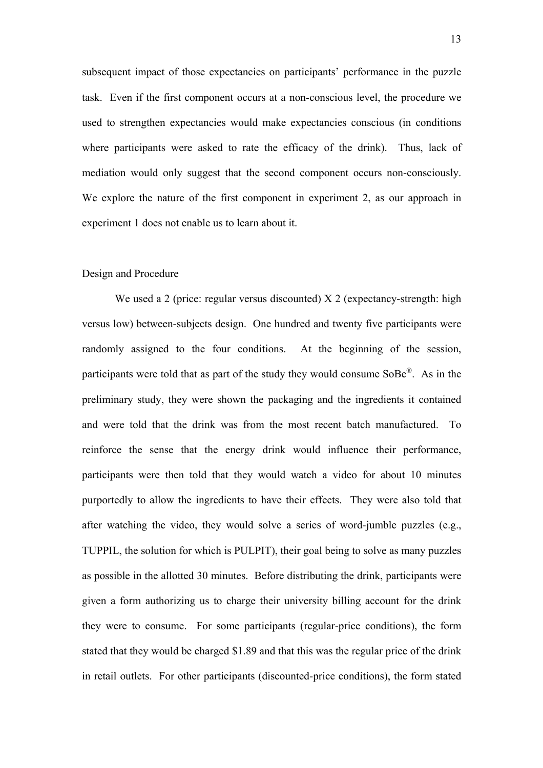subsequent impact of those expectancies on participants' performance in the puzzle task. Even if the first component occurs at a non-conscious level, the procedure we used to strengthen expectancies would make expectancies conscious (in conditions where participants were asked to rate the efficacy of the drink). Thus, lack of mediation would only suggest that the second component occurs non-consciously. We explore the nature of the first component in experiment 2, as our approach in experiment 1 does not enable us to learn about it.

#### Design and Procedure

We used a 2 (price: regular versus discounted) X 2 (expectancy-strength: high versus low) between-subjects design. One hundred and twenty five participants were randomly assigned to the four conditions. At the beginning of the session, participants were told that as part of the study they would consume SoBe®. As in the preliminary study, they were shown the packaging and the ingredients it contained and were told that the drink was from the most recent batch manufactured. To reinforce the sense that the energy drink would influence their performance, participants were then told that they would watch a video for about 10 minutes purportedly to allow the ingredients to have their effects. They were also told that after watching the video, they would solve a series of word-jumble puzzles (e.g., TUPPIL, the solution for which is PULPIT), their goal being to solve as many puzzles as possible in the allotted 30 minutes. Before distributing the drink, participants were given a form authorizing us to charge their university billing account for the drink they were to consume. For some participants (regular-price conditions), the form stated that they would be charged \$1.89 and that this was the regular price of the drink in retail outlets. For other participants (discounted-price conditions), the form stated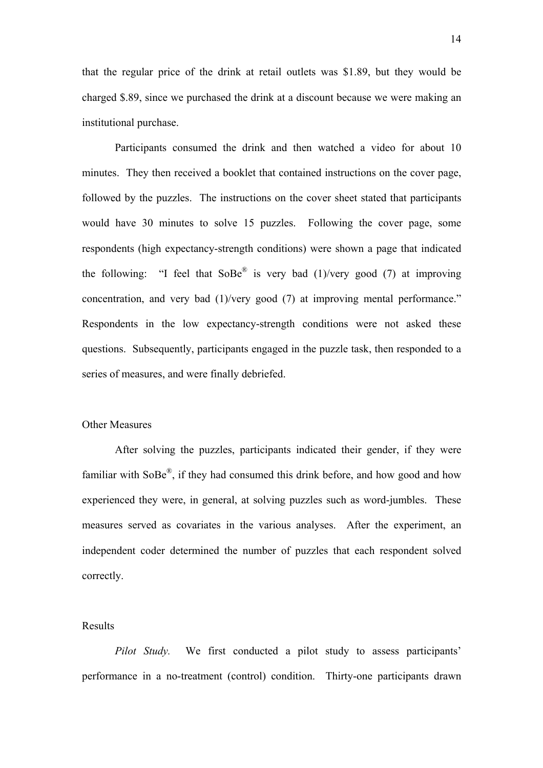that the regular price of the drink at retail outlets was \$1.89, but they would be charged \$.89, since we purchased the drink at a discount because we were making an institutional purchase.

Participants consumed the drink and then watched a video for about 10 minutes. They then received a booklet that contained instructions on the cover page, followed by the puzzles. The instructions on the cover sheet stated that participants would have 30 minutes to solve 15 puzzles. Following the cover page, some respondents (high expectancy-strength conditions) were shown a page that indicated the following: "I feel that  $\text{SoBe}^{\textcircled{R}}$  is very bad (1)/very good (7) at improving concentration, and very bad (1)/very good (7) at improving mental performance." Respondents in the low expectancy-strength conditions were not asked these questions. Subsequently, participants engaged in the puzzle task, then responded to a series of measures, and were finally debriefed.

## Other Measures

 After solving the puzzles, participants indicated their gender, if they were familiar with SoBe®, if they had consumed this drink before, and how good and how experienced they were, in general, at solving puzzles such as word-jumbles. These measures served as covariates in the various analyses. After the experiment, an independent coder determined the number of puzzles that each respondent solved correctly.

# Results

*Pilot Study.* We first conducted a pilot study to assess participants' performance in a no-treatment (control) condition. Thirty-one participants drawn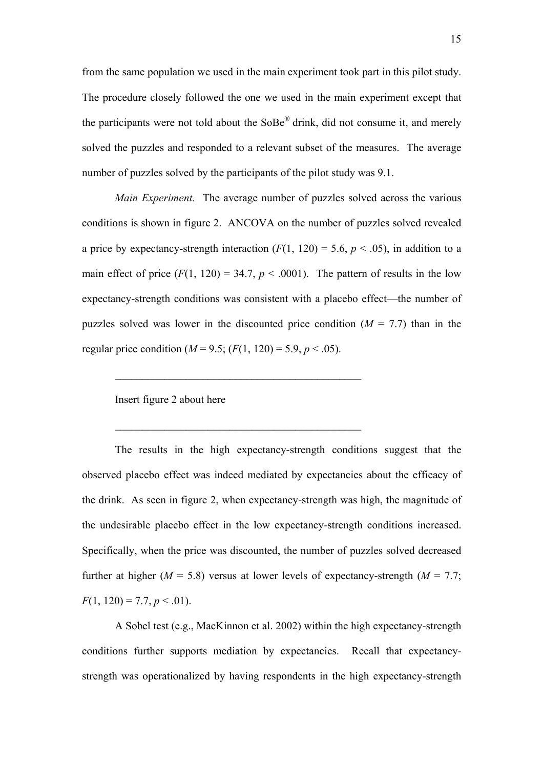from the same population we used in the main experiment took part in this pilot study. The procedure closely followed the one we used in the main experiment except that the participants were not told about the  $S_0Be^{\otimes}$  drink, did not consume it, and merely solved the puzzles and responded to a relevant subset of the measures. The average number of puzzles solved by the participants of the pilot study was 9.1.

*Main Experiment.* The average number of puzzles solved across the various conditions is shown in figure 2. ANCOVA on the number of puzzles solved revealed a price by expectancy-strength interaction  $(F(1, 120) = 5.6, p < .05)$ , in addition to a main effect of price  $(F(1, 120) = 34.7, p < .0001)$ . The pattern of results in the low expectancy-strength conditions was consistent with a placebo effect—the number of puzzles solved was lower in the discounted price condition  $(M = 7.7)$  than in the regular price condition ( $M = 9.5$ ; ( $F(1, 120) = 5.9$ ,  $p < .05$ ).

 $\mathcal{L}_\text{max}$  and  $\mathcal{L}_\text{max}$  and  $\mathcal{L}_\text{max}$  and  $\mathcal{L}_\text{max}$  and  $\mathcal{L}_\text{max}$ 

 $\mathcal{L}_\text{max}$  and  $\mathcal{L}_\text{max}$  and  $\mathcal{L}_\text{max}$  and  $\mathcal{L}_\text{max}$  and  $\mathcal{L}_\text{max}$ 

Insert figure 2 about here

The results in the high expectancy-strength conditions suggest that the observed placebo effect was indeed mediated by expectancies about the efficacy of the drink. As seen in figure 2, when expectancy-strength was high, the magnitude of the undesirable placebo effect in the low expectancy-strength conditions increased. Specifically, when the price was discounted, the number of puzzles solved decreased further at higher ( $M = 5.8$ ) versus at lower levels of expectancy-strength ( $M = 7.7$ ;  $F(1, 120) = 7.7, p < .01$ ).

A Sobel test (e.g., MacKinnon et al. 2002) within the high expectancy-strength conditions further supports mediation by expectancies. Recall that expectancystrength was operationalized by having respondents in the high expectancy-strength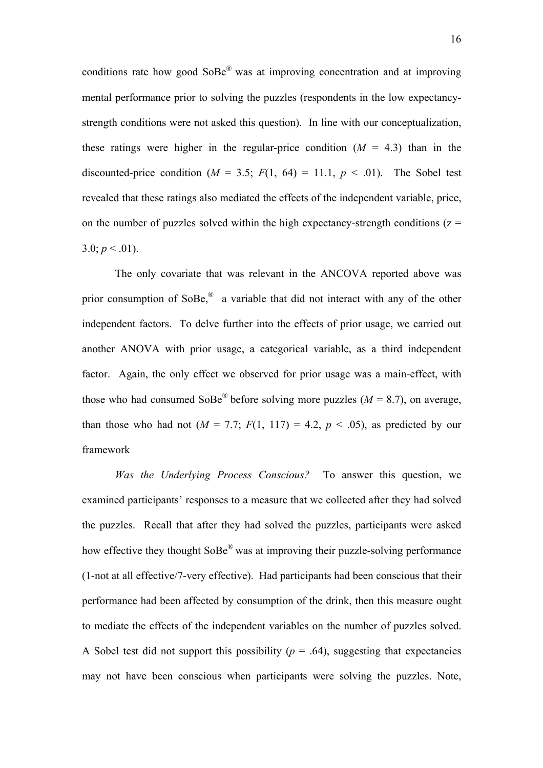conditions rate how good SoBe® was at improving concentration and at improving mental performance prior to solving the puzzles (respondents in the low expectancystrength conditions were not asked this question). In line with our conceptualization, these ratings were higher in the regular-price condition  $(M = 4.3)$  than in the discounted-price condition ( $M = 3.5$ ;  $F(1, 64) = 11.1$ ,  $p < .01$ ). The Sobel test revealed that these ratings also mediated the effects of the independent variable, price, on the number of puzzles solved within the high expectancy-strength conditions ( $z =$ 3.0;  $p < .01$ ).

The only covariate that was relevant in the ANCOVA reported above was prior consumption of SoBe,<sup>®</sup> a variable that did not interact with any of the other independent factors. To delve further into the effects of prior usage, we carried out another ANOVA with prior usage, a categorical variable, as a third independent factor. Again, the only effect we observed for prior usage was a main-effect, with those who had consumed SoBe<sup>®</sup> before solving more puzzles ( $M = 8.7$ ), on average, than those who had not  $(M = 7.7; F(1, 117) = 4.2, p < .05)$ , as predicted by our framework

*Was the Underlying Process Conscious?* To answer this question, we examined participants' responses to a measure that we collected after they had solved the puzzles. Recall that after they had solved the puzzles, participants were asked how effective they thought  $S^{\text{OBe}}$ <sup>®</sup> was at improving their puzzle-solving performance (1-not at all effective/7-very effective). Had participants had been conscious that their performance had been affected by consumption of the drink, then this measure ought to mediate the effects of the independent variables on the number of puzzles solved. A Sobel test did not support this possibility  $(p = .64)$ , suggesting that expectancies may not have been conscious when participants were solving the puzzles. Note,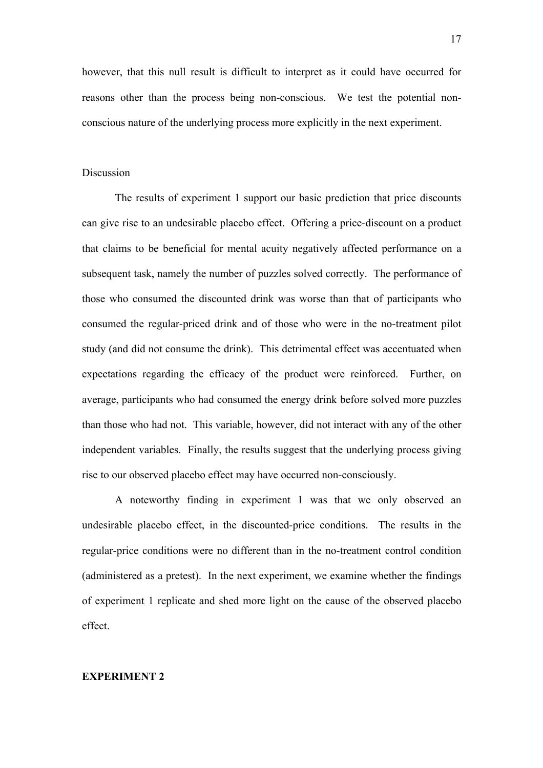however, that this null result is difficult to interpret as it could have occurred for reasons other than the process being non-conscious. We test the potential nonconscious nature of the underlying process more explicitly in the next experiment.

#### Discussion

 The results of experiment 1 support our basic prediction that price discounts can give rise to an undesirable placebo effect. Offering a price-discount on a product that claims to be beneficial for mental acuity negatively affected performance on a subsequent task, namely the number of puzzles solved correctly. The performance of those who consumed the discounted drink was worse than that of participants who consumed the regular-priced drink and of those who were in the no-treatment pilot study (and did not consume the drink). This detrimental effect was accentuated when expectations regarding the efficacy of the product were reinforced. Further, on average, participants who had consumed the energy drink before solved more puzzles than those who had not. This variable, however, did not interact with any of the other independent variables. Finally, the results suggest that the underlying process giving rise to our observed placebo effect may have occurred non-consciously.

 A noteworthy finding in experiment 1 was that we only observed an undesirable placebo effect, in the discounted-price conditions. The results in the regular-price conditions were no different than in the no-treatment control condition (administered as a pretest). In the next experiment, we examine whether the findings of experiment 1 replicate and shed more light on the cause of the observed placebo effect.

## **EXPERIMENT 2**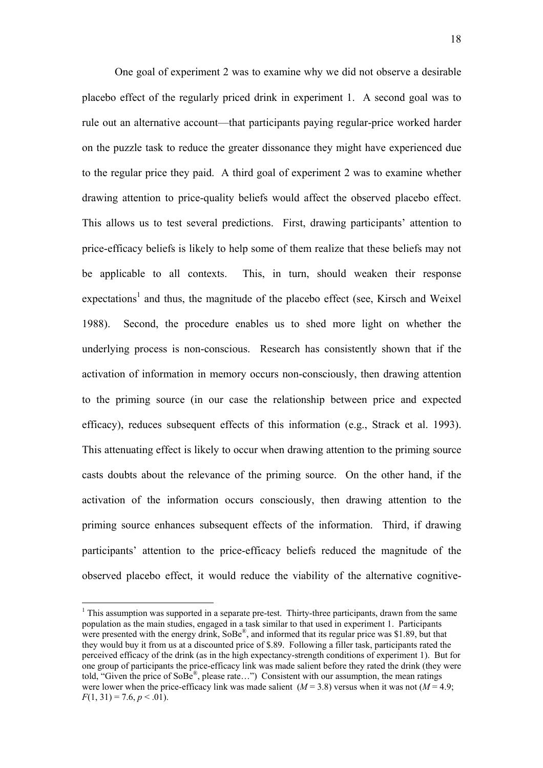One goal of experiment 2 was to examine why we did not observe a desirable placebo effect of the regularly priced drink in experiment 1. A second goal was to rule out an alternative account—that participants paying regular-price worked harder on the puzzle task to reduce the greater dissonance they might have experienced due to the regular price they paid. A third goal of experiment 2 was to examine whether drawing attention to price-quality beliefs would affect the observed placebo effect. This allows us to test several predictions. First, drawing participants' attention to price-efficacy beliefs is likely to help some of them realize that these beliefs may not be applicable to all contexts. This, in turn, should weaken their response expectations<sup>[1](#page-18-0)</sup> and thus, the magnitude of the placebo effect (see, Kirsch and Weixel 1988). Second, the procedure enables us to shed more light on whether the underlying process is non-conscious. Research has consistently shown that if the activation of information in memory occurs non-consciously, then drawing attention to the priming source (in our case the relationship between price and expected efficacy), reduces subsequent effects of this information (e.g., Strack et al. 1993). This attenuating effect is likely to occur when drawing attention to the priming source casts doubts about the relevance of the priming source. On the other hand, if the activation of the information occurs consciously, then drawing attention to the priming source enhances subsequent effects of the information. Third, if drawing participants' attention to the price-efficacy beliefs reduced the magnitude of the observed placebo effect, it would reduce the viability of the alternative cognitive-

 $\overline{a}$ 

<span id="page-18-0"></span><sup>&</sup>lt;sup>1</sup> This assumption was supported in a separate pre-test. Thirty-three participants, drawn from the same population as the main studies, engaged in a task similar to that used in experiment 1. Participants were presented with the energy drink, SoBe®, and informed that its regular price was \$1.89, but that they would buy it from us at a discounted price of \$.89. Following a filler task, participants rated the perceived efficacy of the drink (as in the high expectancy-strength conditions of experiment 1). But for one group of participants the price-efficacy link was made salient before they rated the drink (they were told, "Given the price of SoBe®, please rate…") Consistent with our assumption, the mean ratings were lower when the price-efficacy link was made salient  $(M = 3.8)$  versus when it was not  $(M = 4.9)$ ;  $F(1, 31) = 7.6, p < .01$ .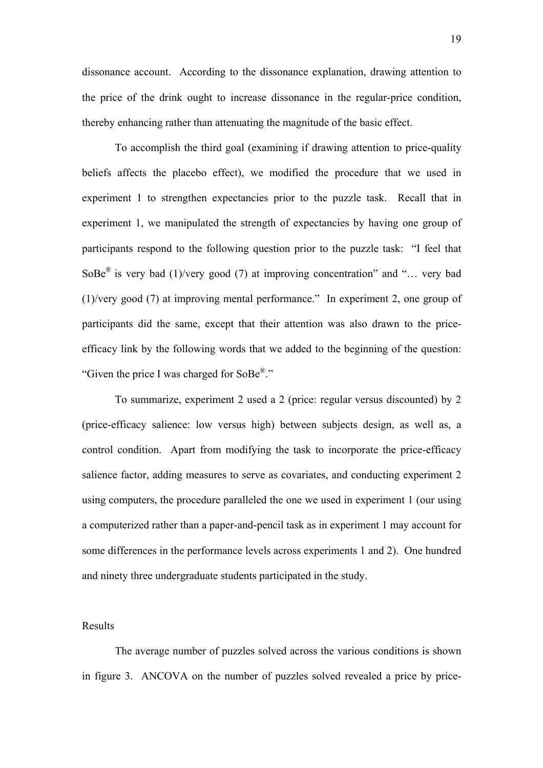dissonance account. According to the dissonance explanation, drawing attention to the price of the drink ought to increase dissonance in the regular-price condition, thereby enhancing rather than attenuating the magnitude of the basic effect.

 To accomplish the third goal (examining if drawing attention to price-quality beliefs affects the placebo effect), we modified the procedure that we used in experiment 1 to strengthen expectancies prior to the puzzle task. Recall that in experiment 1, we manipulated the strength of expectancies by having one group of participants respond to the following question prior to the puzzle task: "I feel that SoBe<sup>®</sup> is very bad (1)/very good (7) at improving concentration" and "... very bad (1)/very good (7) at improving mental performance." In experiment 2, one group of participants did the same, except that their attention was also drawn to the priceefficacy link by the following words that we added to the beginning of the question: "Given the price I was charged for SoBe®."

To summarize, experiment 2 used a 2 (price: regular versus discounted) by 2 (price-efficacy salience: low versus high) between subjects design, as well as, a control condition. Apart from modifying the task to incorporate the price-efficacy salience factor, adding measures to serve as covariates, and conducting experiment 2 using computers, the procedure paralleled the one we used in experiment 1 (our using a computerized rather than a paper-and-pencil task as in experiment 1 may account for some differences in the performance levels across experiments 1 and 2). One hundred and ninety three undergraduate students participated in the study.

# Results

The average number of puzzles solved across the various conditions is shown in figure 3. ANCOVA on the number of puzzles solved revealed a price by price-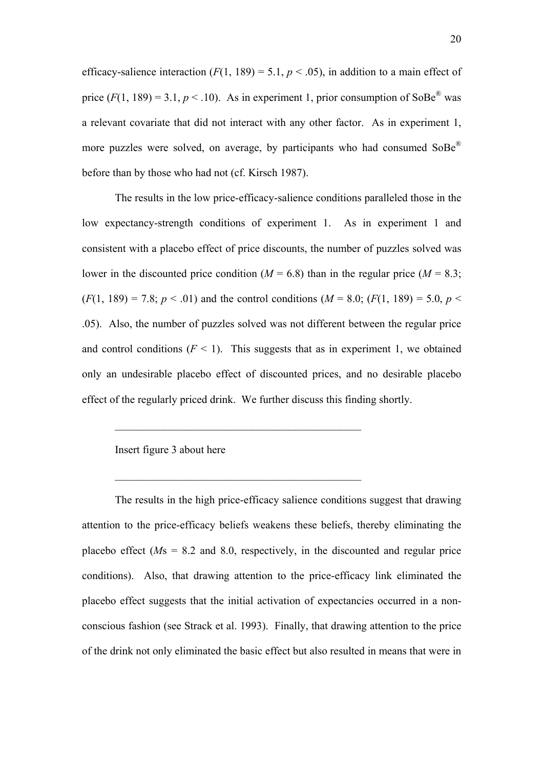efficacy-salience interaction  $(F(1, 189) = 5.1, p < .05)$ , in addition to a main effect of price  $(F(1, 189) = 3.1, p < .10)$ . As in experiment 1, prior consumption of SoBe<sup>®</sup> was a relevant covariate that did not interact with any other factor. As in experiment 1, more puzzles were solved, on average, by participants who had consumed  $S_0Be^{\otimes}$ before than by those who had not (cf. Kirsch 1987).

The results in the low price-efficacy-salience conditions paralleled those in the low expectancy-strength conditions of experiment 1. As in experiment 1 and consistent with a placebo effect of price discounts, the number of puzzles solved was lower in the discounted price condition ( $M = 6.8$ ) than in the regular price ( $M = 8.3$ ;  $(F(1, 189) = 7.8; p < .01)$  and the control conditions  $(M = 8.0; (F(1, 189) = 5.0, p < .01)$ .05). Also, the number of puzzles solved was not different between the regular price and control conditions  $(F \le 1)$ . This suggests that as in experiment 1, we obtained only an undesirable placebo effect of discounted prices, and no desirable placebo effect of the regularly priced drink. We further discuss this finding shortly.

 $\mathcal{L}_\text{max}$  and  $\mathcal{L}_\text{max}$  and  $\mathcal{L}_\text{max}$  and  $\mathcal{L}_\text{max}$  and  $\mathcal{L}_\text{max}$ 

 $\mathcal{L}_\text{max}$  and  $\mathcal{L}_\text{max}$  and  $\mathcal{L}_\text{max}$  and  $\mathcal{L}_\text{max}$  and  $\mathcal{L}_\text{max}$ 

Insert figure 3 about here

The results in the high price-efficacy salience conditions suggest that drawing attention to the price-efficacy beliefs weakens these beliefs, thereby eliminating the placebo effect (*M*s = 8.2 and 8.0, respectively, in the discounted and regular price conditions). Also, that drawing attention to the price-efficacy link eliminated the placebo effect suggests that the initial activation of expectancies occurred in a nonconscious fashion (see Strack et al. 1993). Finally, that drawing attention to the price of the drink not only eliminated the basic effect but also resulted in means that were in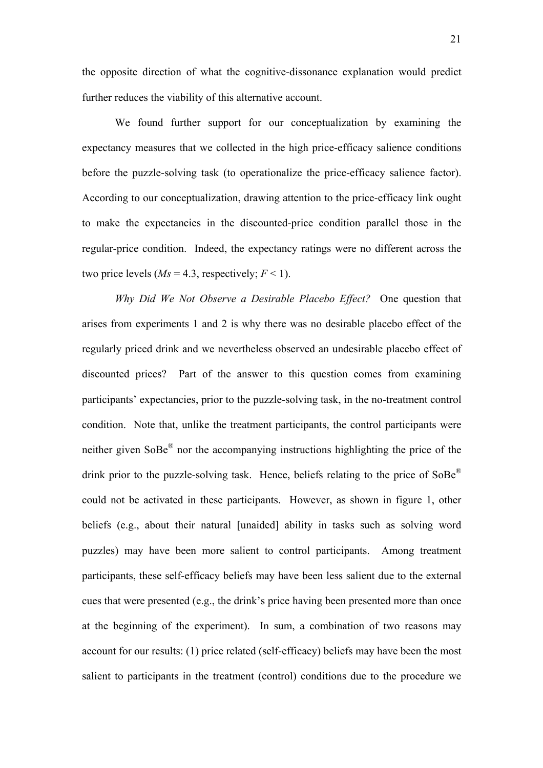the opposite direction of what the cognitive-dissonance explanation would predict further reduces the viability of this alternative account.

We found further support for our conceptualization by examining the expectancy measures that we collected in the high price-efficacy salience conditions before the puzzle-solving task (to operationalize the price-efficacy salience factor). According to our conceptualization, drawing attention to the price-efficacy link ought to make the expectancies in the discounted-price condition parallel those in the regular-price condition. Indeed, the expectancy ratings were no different across the two price levels ( $Ms = 4.3$ , respectively;  $F < 1$ ).

*Why Did We Not Observe a Desirable Placebo Effect?* One question that arises from experiments 1 and 2 is why there was no desirable placebo effect of the regularly priced drink and we nevertheless observed an undesirable placebo effect of discounted prices? Part of the answer to this question comes from examining participants' expectancies, prior to the puzzle-solving task, in the no-treatment control condition. Note that, unlike the treatment participants, the control participants were neither given SoBe® nor the accompanying instructions highlighting the price of the drink prior to the puzzle-solving task. Hence, beliefs relating to the price of SoBe<sup>®</sup> could not be activated in these participants. However, as shown in figure 1, other beliefs (e.g., about their natural [unaided] ability in tasks such as solving word puzzles) may have been more salient to control participants. Among treatment participants, these self-efficacy beliefs may have been less salient due to the external cues that were presented (e.g., the drink's price having been presented more than once at the beginning of the experiment). In sum, a combination of two reasons may account for our results: (1) price related (self-efficacy) beliefs may have been the most salient to participants in the treatment (control) conditions due to the procedure we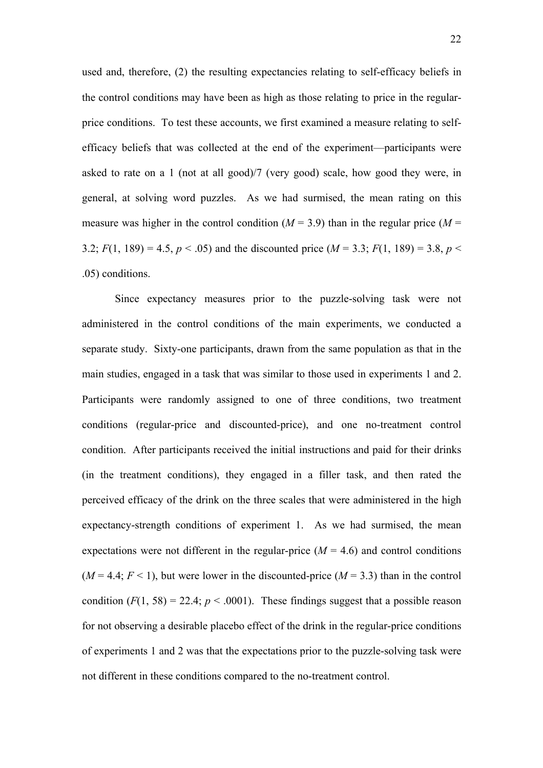used and, therefore, (2) the resulting expectancies relating to self-efficacy beliefs in the control conditions may have been as high as those relating to price in the regularprice conditions. To test these accounts, we first examined a measure relating to selfefficacy beliefs that was collected at the end of the experiment—participants were asked to rate on a 1 (not at all good)/7 (very good) scale, how good they were, in general, at solving word puzzles. As we had surmised, the mean rating on this measure was higher in the control condition  $(M = 3.9)$  than in the regular price  $(M = 1.9)$ 3.2;  $F(1, 189) = 4.5$ ,  $p < .05$ ) and the discounted price ( $M = 3.3$ ;  $F(1, 189) = 3.8$ ,  $p <$ .05) conditions.

Since expectancy measures prior to the puzzle-solving task were not administered in the control conditions of the main experiments, we conducted a separate study. Sixty-one participants, drawn from the same population as that in the main studies, engaged in a task that was similar to those used in experiments 1 and 2. Participants were randomly assigned to one of three conditions, two treatment conditions (regular-price and discounted-price), and one no-treatment control condition. After participants received the initial instructions and paid for their drinks (in the treatment conditions), they engaged in a filler task, and then rated the perceived efficacy of the drink on the three scales that were administered in the high expectancy-strength conditions of experiment 1. As we had surmised, the mean expectations were not different in the regular-price  $(M = 4.6)$  and control conditions  $(M = 4.4; F < 1)$ , but were lower in the discounted-price  $(M = 3.3)$  than in the control condition  $(F(1, 58) = 22.4; p < .0001)$ . These findings suggest that a possible reason for not observing a desirable placebo effect of the drink in the regular-price conditions of experiments 1 and 2 was that the expectations prior to the puzzle-solving task were not different in these conditions compared to the no-treatment control.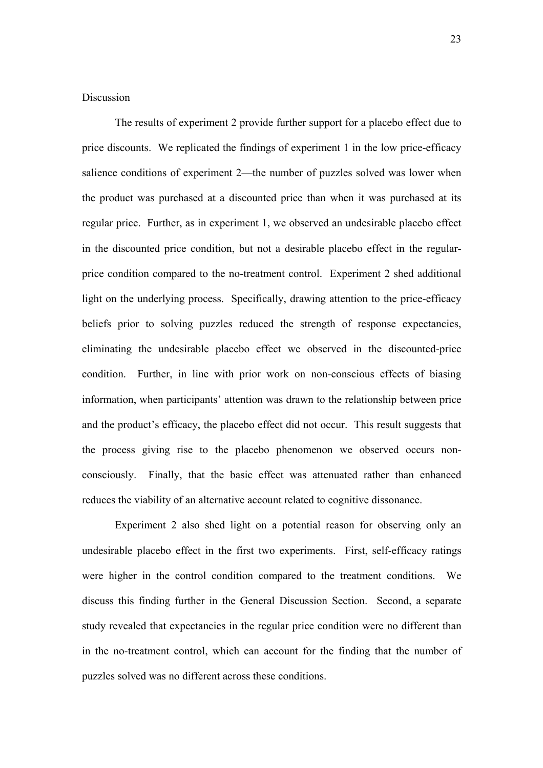# **Discussion**

The results of experiment 2 provide further support for a placebo effect due to price discounts. We replicated the findings of experiment 1 in the low price-efficacy salience conditions of experiment 2—the number of puzzles solved was lower when the product was purchased at a discounted price than when it was purchased at its regular price. Further, as in experiment 1, we observed an undesirable placebo effect in the discounted price condition, but not a desirable placebo effect in the regularprice condition compared to the no-treatment control. Experiment 2 shed additional light on the underlying process. Specifically, drawing attention to the price-efficacy beliefs prior to solving puzzles reduced the strength of response expectancies, eliminating the undesirable placebo effect we observed in the discounted-price condition. Further, in line with prior work on non-conscious effects of biasing information, when participants' attention was drawn to the relationship between price and the product's efficacy, the placebo effect did not occur. This result suggests that the process giving rise to the placebo phenomenon we observed occurs nonconsciously. Finally, that the basic effect was attenuated rather than enhanced reduces the viability of an alternative account related to cognitive dissonance.

 Experiment 2 also shed light on a potential reason for observing only an undesirable placebo effect in the first two experiments. First, self-efficacy ratings were higher in the control condition compared to the treatment conditions. We discuss this finding further in the General Discussion Section. Second, a separate study revealed that expectancies in the regular price condition were no different than in the no-treatment control, which can account for the finding that the number of puzzles solved was no different across these conditions.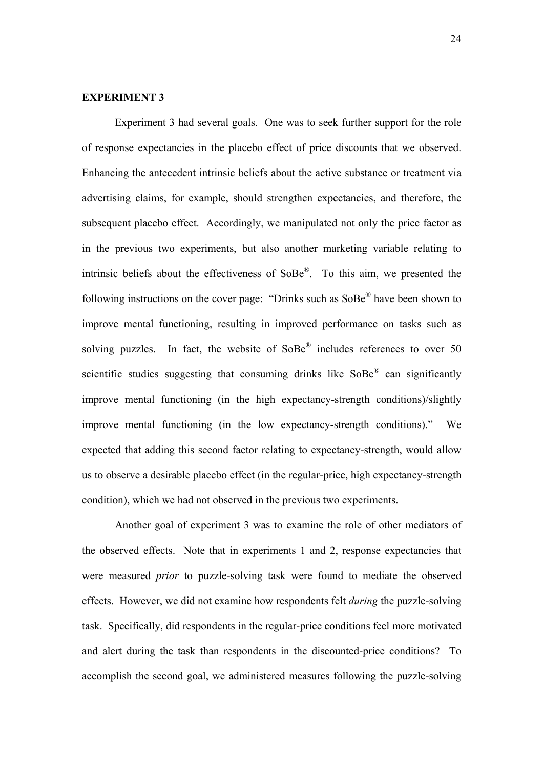#### **EXPERIMENT 3**

Experiment 3 had several goals. One was to seek further support for the role of response expectancies in the placebo effect of price discounts that we observed. Enhancing the antecedent intrinsic beliefs about the active substance or treatment via advertising claims, for example, should strengthen expectancies, and therefore, the subsequent placebo effect. Accordingly, we manipulated not only the price factor as in the previous two experiments, but also another marketing variable relating to intrinsic beliefs about the effectiveness of SoBe®. To this aim, we presented the following instructions on the cover page: "Drinks such as SoBe® have been shown to improve mental functioning, resulting in improved performance on tasks such as solving puzzles. In fact, the website of  $SoBe^{\otimes}$  includes references to over 50 scientific studies suggesting that consuming drinks like  $\text{SoBe}^{\circledR}$  can significantly improve mental functioning (in the high expectancy-strength conditions)/slightly improve mental functioning (in the low expectancy-strength conditions)." We expected that adding this second factor relating to expectancy-strength, would allow us to observe a desirable placebo effect (in the regular-price, high expectancy-strength condition), which we had not observed in the previous two experiments.

Another goal of experiment 3 was to examine the role of other mediators of the observed effects. Note that in experiments 1 and 2, response expectancies that were measured *prior* to puzzle-solving task were found to mediate the observed effects. However, we did not examine how respondents felt *during* the puzzle-solving task. Specifically, did respondents in the regular-price conditions feel more motivated and alert during the task than respondents in the discounted-price conditions? To accomplish the second goal, we administered measures following the puzzle-solving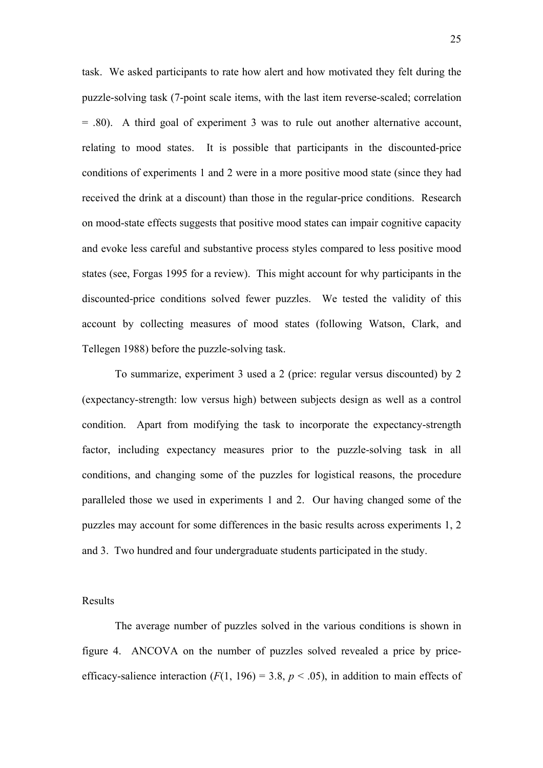task. We asked participants to rate how alert and how motivated they felt during the puzzle-solving task (7-point scale items, with the last item reverse-scaled; correlation = .80). A third goal of experiment 3 was to rule out another alternative account, relating to mood states. It is possible that participants in the discounted-price conditions of experiments 1 and 2 were in a more positive mood state (since they had received the drink at a discount) than those in the regular-price conditions. Research on mood-state effects suggests that positive mood states can impair cognitive capacity and evoke less careful and substantive process styles compared to less positive mood states (see, Forgas 1995 for a review). This might account for why participants in the discounted-price conditions solved fewer puzzles. We tested the validity of this account by collecting measures of mood states (following Watson, Clark, and Tellegen 1988) before the puzzle-solving task.

To summarize, experiment 3 used a 2 (price: regular versus discounted) by 2 (expectancy-strength: low versus high) between subjects design as well as a control condition. Apart from modifying the task to incorporate the expectancy-strength factor, including expectancy measures prior to the puzzle-solving task in all conditions, and changing some of the puzzles for logistical reasons, the procedure paralleled those we used in experiments 1 and 2. Our having changed some of the puzzles may account for some differences in the basic results across experiments 1, 2 and 3. Two hundred and four undergraduate students participated in the study.

#### Results

The average number of puzzles solved in the various conditions is shown in figure 4. ANCOVA on the number of puzzles solved revealed a price by priceefficacy-salience interaction  $(F(1, 196) = 3.8, p < .05)$ , in addition to main effects of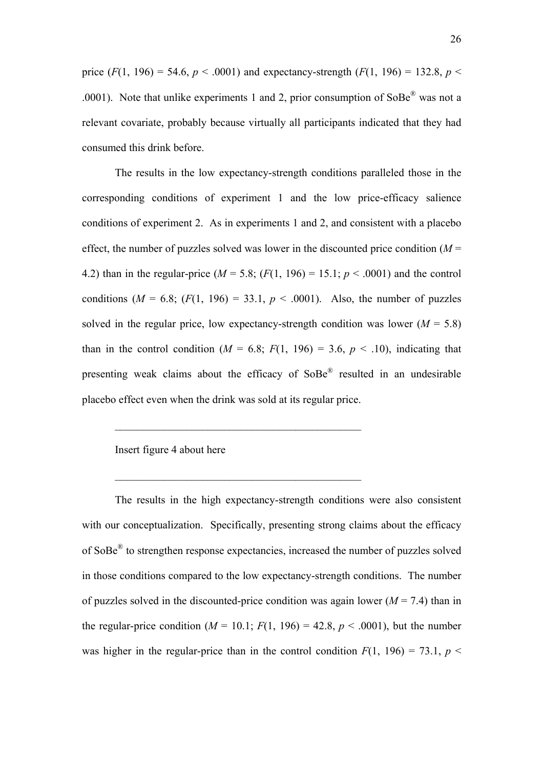price  $(F(1, 196) = 54.6, p < .0001)$  and expectancy-strength  $(F(1, 196) = 132.8, p < .0001)$ .0001). Note that unlike experiments 1 and 2, prior consumption of  $SoBe^{\mathcal{R}}$  was not a relevant covariate, probably because virtually all participants indicated that they had consumed this drink before.

The results in the low expectancy-strength conditions paralleled those in the corresponding conditions of experiment 1 and the low price-efficacy salience conditions of experiment 2. As in experiments 1 and 2, and consistent with a placebo effect, the number of puzzles solved was lower in the discounted price condition  $(M =$ 4.2) than in the regular-price ( $M = 5.8$ ; ( $F(1, 196) = 15.1$ ;  $p < .0001$ ) and the control conditions  $(M = 6.8; (F(1, 196) = 33.1, p < .0001)$ . Also, the number of puzzles solved in the regular price, low expectancy-strength condition was lower  $(M = 5.8)$ than in the control condition ( $M = 6.8$ ;  $F(1, 196) = 3.6$ ,  $p < .10$ ), indicating that presenting weak claims about the efficacy of SoBe® resulted in an undesirable placebo effect even when the drink was sold at its regular price.

 $\mathcal{L}_\text{max}$  and  $\mathcal{L}_\text{max}$  and  $\mathcal{L}_\text{max}$  and  $\mathcal{L}_\text{max}$  and  $\mathcal{L}_\text{max}$ 

 $\mathcal{L}_\text{max}$  and  $\mathcal{L}_\text{max}$  and  $\mathcal{L}_\text{max}$  and  $\mathcal{L}_\text{max}$  and  $\mathcal{L}_\text{max}$ 

# Insert figure 4 about here

The results in the high expectancy-strength conditions were also consistent with our conceptualization. Specifically, presenting strong claims about the efficacy of SoBe® to strengthen response expectancies, increased the number of puzzles solved in those conditions compared to the low expectancy-strength conditions. The number of puzzles solved in the discounted-price condition was again lower  $(M = 7.4)$  than in the regular-price condition  $(M = 10.1; F(1, 196) = 42.8, p < .0001)$ , but the number was higher in the regular-price than in the control condition  $F(1, 196) = 73.1$ ,  $p <$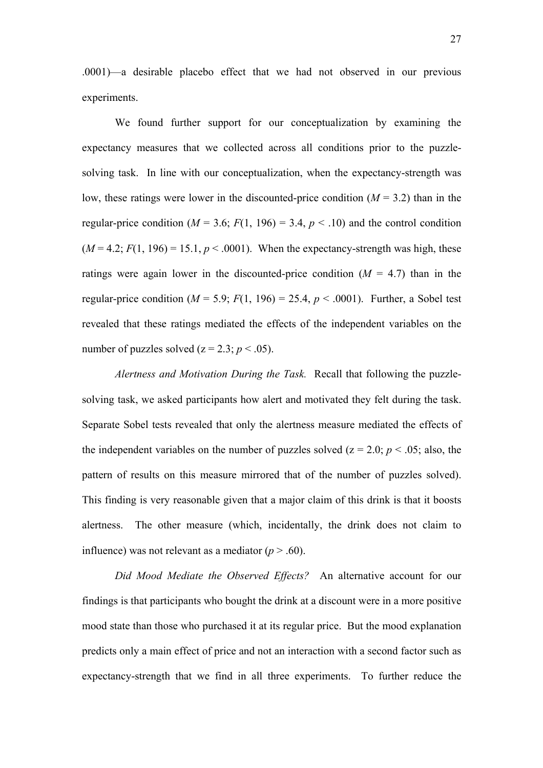.0001)—a desirable placebo effect that we had not observed in our previous experiments.

We found further support for our conceptualization by examining the expectancy measures that we collected across all conditions prior to the puzzlesolving task. In line with our conceptualization, when the expectancy-strength was low, these ratings were lower in the discounted-price condition  $(M = 3.2)$  than in the regular-price condition ( $M = 3.6$ ;  $F(1, 196) = 3.4$ ,  $p < .10$ ) and the control condition  $(M = 4.2; F(1, 196) = 15.1, p < .0001)$ . When the expectancy-strength was high, these ratings were again lower in the discounted-price condition  $(M = 4.7)$  than in the regular-price condition ( $M = 5.9$ ;  $F(1, 196) = 25.4$ ,  $p < .0001$ ). Further, a Sobel test revealed that these ratings mediated the effects of the independent variables on the number of puzzles solved ( $z = 2.3$ ;  $p < .05$ ).

*Alertness and Motivation During the Task.* Recall that following the puzzlesolving task, we asked participants how alert and motivated they felt during the task. Separate Sobel tests revealed that only the alertness measure mediated the effects of the independent variables on the number of puzzles solved ( $z = 2.0$ ;  $p < .05$ ; also, the pattern of results on this measure mirrored that of the number of puzzles solved). This finding is very reasonable given that a major claim of this drink is that it boosts alertness. The other measure (which, incidentally, the drink does not claim to influence) was not relevant as a mediator  $(p > .60)$ .

*Did Mood Mediate the Observed Effects?* An alternative account for our findings is that participants who bought the drink at a discount were in a more positive mood state than those who purchased it at its regular price. But the mood explanation predicts only a main effect of price and not an interaction with a second factor such as expectancy-strength that we find in all three experiments. To further reduce the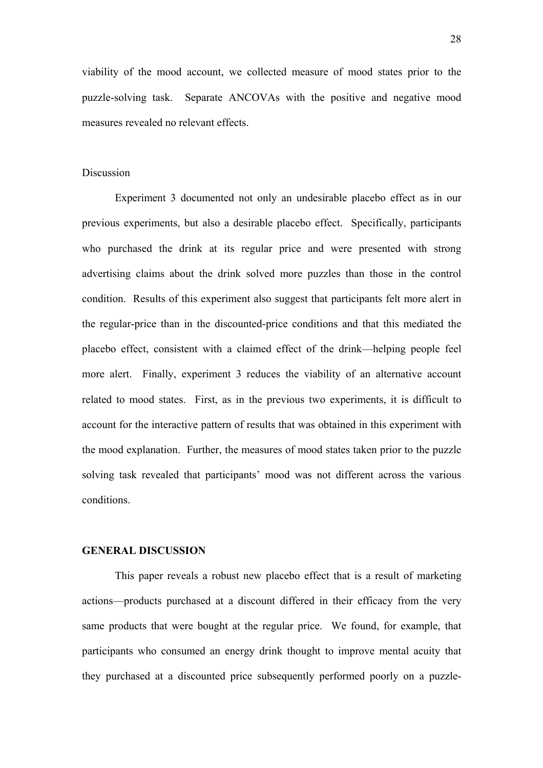viability of the mood account, we collected measure of mood states prior to the puzzle-solving task. Separate ANCOVAs with the positive and negative mood measures revealed no relevant effects.

#### Discussion

 Experiment 3 documented not only an undesirable placebo effect as in our previous experiments, but also a desirable placebo effect. Specifically, participants who purchased the drink at its regular price and were presented with strong advertising claims about the drink solved more puzzles than those in the control condition. Results of this experiment also suggest that participants felt more alert in the regular-price than in the discounted-price conditions and that this mediated the placebo effect, consistent with a claimed effect of the drink—helping people feel more alert. Finally, experiment 3 reduces the viability of an alternative account related to mood states. First, as in the previous two experiments, it is difficult to account for the interactive pattern of results that was obtained in this experiment with the mood explanation. Further, the measures of mood states taken prior to the puzzle solving task revealed that participants' mood was not different across the various conditions.

#### **GENERAL DISCUSSION**

This paper reveals a robust new placebo effect that is a result of marketing actions—products purchased at a discount differed in their efficacy from the very same products that were bought at the regular price. We found, for example, that participants who consumed an energy drink thought to improve mental acuity that they purchased at a discounted price subsequently performed poorly on a puzzle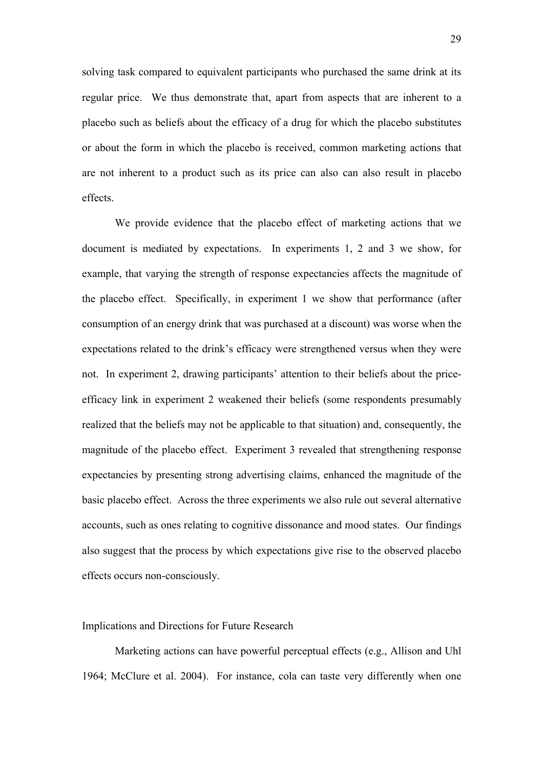solving task compared to equivalent participants who purchased the same drink at its regular price. We thus demonstrate that, apart from aspects that are inherent to a placebo such as beliefs about the efficacy of a drug for which the placebo substitutes or about the form in which the placebo is received, common marketing actions that are not inherent to a product such as its price can also can also result in placebo effects.

We provide evidence that the placebo effect of marketing actions that we document is mediated by expectations. In experiments 1, 2 and 3 we show, for example, that varying the strength of response expectancies affects the magnitude of the placebo effect. Specifically, in experiment 1 we show that performance (after consumption of an energy drink that was purchased at a discount) was worse when the expectations related to the drink's efficacy were strengthened versus when they were not. In experiment 2, drawing participants' attention to their beliefs about the priceefficacy link in experiment 2 weakened their beliefs (some respondents presumably realized that the beliefs may not be applicable to that situation) and, consequently, the magnitude of the placebo effect. Experiment 3 revealed that strengthening response expectancies by presenting strong advertising claims, enhanced the magnitude of the basic placebo effect. Across the three experiments we also rule out several alternative accounts, such as ones relating to cognitive dissonance and mood states. Our findings also suggest that the process by which expectations give rise to the observed placebo effects occurs non-consciously.

#### Implications and Directions for Future Research

Marketing actions can have powerful perceptual effects (e.g., Allison and Uhl 1964; McClure et al. 2004). For instance, cola can taste very differently when one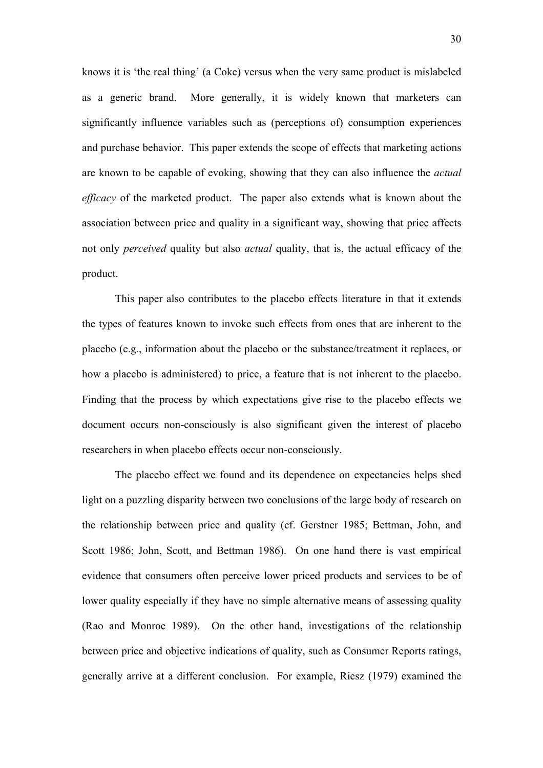knows it is 'the real thing' (a Coke) versus when the very same product is mislabeled as a generic brand. More generally, it is widely known that marketers can significantly influence variables such as (perceptions of) consumption experiences and purchase behavior. This paper extends the scope of effects that marketing actions are known to be capable of evoking, showing that they can also influence the *actual efficacy* of the marketed product. The paper also extends what is known about the association between price and quality in a significant way, showing that price affects not only *perceived* quality but also *actual* quality, that is, the actual efficacy of the product.

This paper also contributes to the placebo effects literature in that it extends the types of features known to invoke such effects from ones that are inherent to the placebo (e.g., information about the placebo or the substance/treatment it replaces, or how a placebo is administered) to price, a feature that is not inherent to the placebo. Finding that the process by which expectations give rise to the placebo effects we document occurs non-consciously is also significant given the interest of placebo researchers in when placebo effects occur non-consciously.

The placebo effect we found and its dependence on expectancies helps shed light on a puzzling disparity between two conclusions of the large body of research on the relationship between price and quality (cf. Gerstner 1985; Bettman, John, and Scott 1986; John, Scott, and Bettman 1986). On one hand there is vast empirical evidence that consumers often perceive lower priced products and services to be of lower quality especially if they have no simple alternative means of assessing quality (Rao and Monroe 1989). On the other hand, investigations of the relationship between price and objective indications of quality, such as Consumer Reports ratings, generally arrive at a different conclusion. For example, Riesz (1979) examined the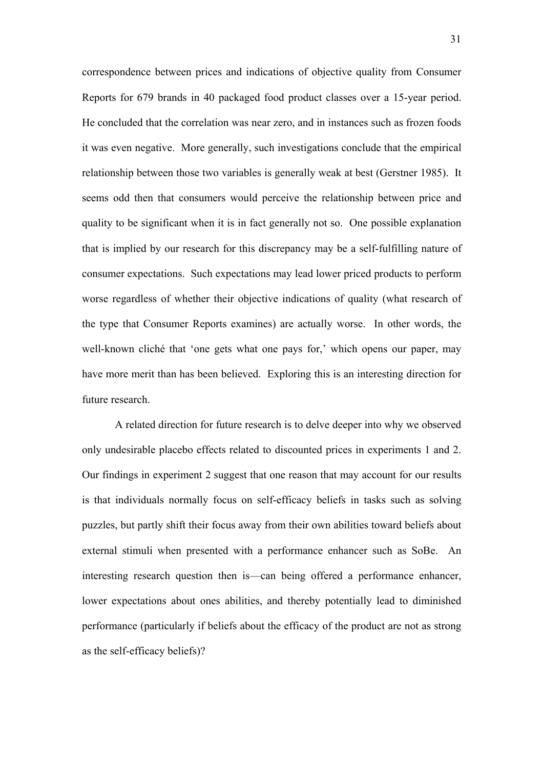correspondence between prices and indications of objective quality from Consumer Reports for 679 brands in 40 packaged food product classes over a 15-year period. He concluded that the correlation was near zero, and in instances such as frozen foods it was even negative. More generally, such investigations conclude that the empirical relationship between those two variables is generally weak at best (Gerstner 1985). It seems odd then that consumers would perceive the relationship between price and quality to be significant when it is in fact generally not so. One possible explanation that is implied by our research for this discrepancy may be a self-fulfilling nature of consumer expectations. Such expectations may lead lower priced products to perform worse regardless of whether their objective indications of quality (what research of the type that Consumer Reports examines) are actually worse. In other words, the well-known cliché that 'one gets what one pays for,' which opens our paper, may have more merit than has been believed. Exploring this is an interesting direction for future research.

A related direction for future research is to delve deeper into why we observed only undesirable placebo effects related to discounted prices in experiments 1 and 2. Our findings in experiment 2 suggest that one reason that may account for our results is that individuals normally focus on self-efficacy beliefs in tasks such as solving puzzles, but partly shift their focus away from their own abilities toward beliefs about external stimuli when presented with a performance enhancer such as SoBe. An interesting research question then is—can being offered a performance enhancer, lower expectations about ones abilities, and thereby potentially lead to diminished performance (particularly if beliefs about the efficacy of the product are not as strong as the self-efficacy beliefs)?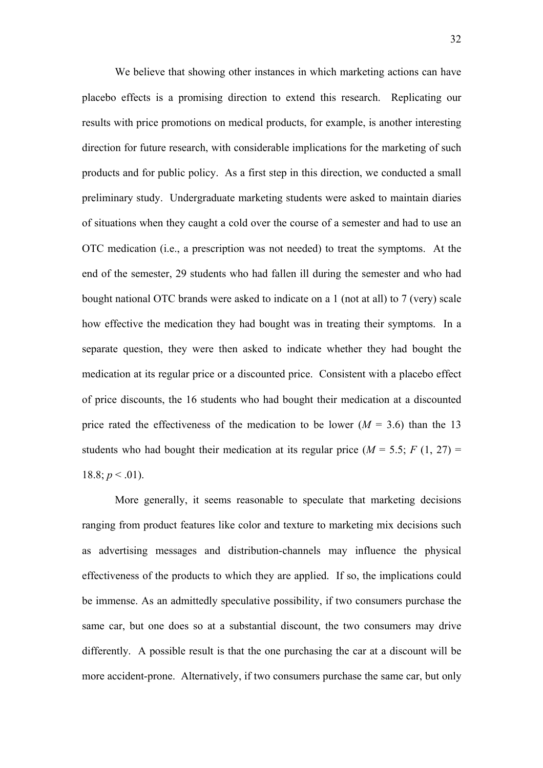We believe that showing other instances in which marketing actions can have placebo effects is a promising direction to extend this research. Replicating our results with price promotions on medical products, for example, is another interesting direction for future research, with considerable implications for the marketing of such products and for public policy. As a first step in this direction, we conducted a small preliminary study. Undergraduate marketing students were asked to maintain diaries of situations when they caught a cold over the course of a semester and had to use an OTC medication (i.e., a prescription was not needed) to treat the symptoms. At the end of the semester, 29 students who had fallen ill during the semester and who had bought national OTC brands were asked to indicate on a 1 (not at all) to 7 (very) scale how effective the medication they had bought was in treating their symptoms. In a separate question, they were then asked to indicate whether they had bought the medication at its regular price or a discounted price. Consistent with a placebo effect of price discounts, the 16 students who had bought their medication at a discounted price rated the effectiveness of the medication to be lower  $(M = 3.6)$  than the 13 students who had bought their medication at its regular price  $(M = 5.5; F(1, 27) =$ 18.8;  $p < .01$ ).

More generally, it seems reasonable to speculate that marketing decisions ranging from product features like color and texture to marketing mix decisions such as advertising messages and distribution-channels may influence the physical effectiveness of the products to which they are applied. If so, the implications could be immense. As an admittedly speculative possibility, if two consumers purchase the same car, but one does so at a substantial discount, the two consumers may drive differently. A possible result is that the one purchasing the car at a discount will be more accident-prone. Alternatively, if two consumers purchase the same car, but only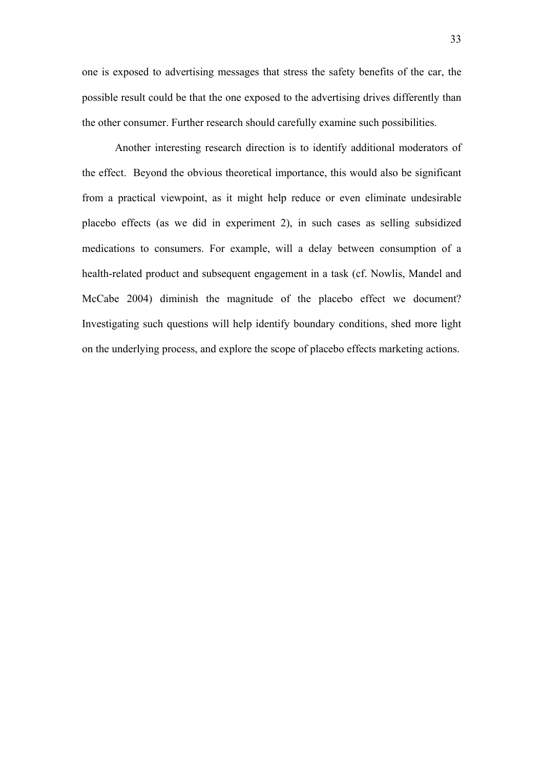one is exposed to advertising messages that stress the safety benefits of the car, the possible result could be that the one exposed to the advertising drives differently than the other consumer. Further research should carefully examine such possibilities.

Another interesting research direction is to identify additional moderators of the effect. Beyond the obvious theoretical importance, this would also be significant from a practical viewpoint, as it might help reduce or even eliminate undesirable placebo effects (as we did in experiment 2), in such cases as selling subsidized medications to consumers. For example, will a delay between consumption of a health-related product and subsequent engagement in a task (cf. Nowlis, Mandel and McCabe 2004) diminish the magnitude of the placebo effect we document? Investigating such questions will help identify boundary conditions, shed more light on the underlying process, and explore the scope of placebo effects marketing actions.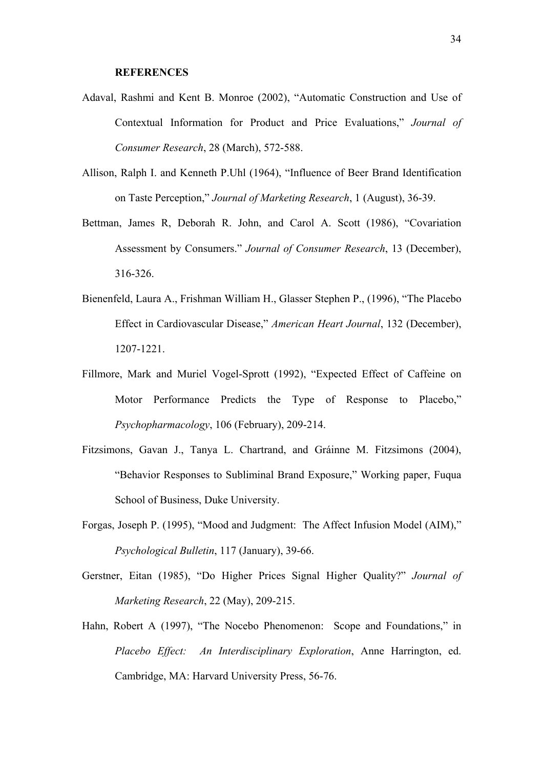#### **REFERENCES**

- Adaval, Rashmi and Kent B. Monroe (2002), "Automatic Construction and Use of Contextual Information for Product and Price Evaluations," *Journal of Consumer Research*, 28 (March), 572-588.
- Allison, Ralph I. and Kenneth P.Uhl (1964), "Influence of Beer Brand Identification on Taste Perception," *Journal of Marketing Research*, 1 (August), 36-39.
- Bettman, James R, Deborah R. John, and Carol A. Scott (1986), "Covariation Assessment by Consumers." *Journal of Consumer Research*, 13 (December), 316-326.
- Bienenfeld, Laura A., Frishman William H., Glasser Stephen P., (1996), "The Placebo Effect in Cardiovascular Disease," *American Heart Journal*, 132 (December), 1207-1221.
- Fillmore, Mark and Muriel Vogel-Sprott (1992), "Expected Effect of Caffeine on Motor Performance Predicts the Type of Response to Placebo," *Psychopharmacology*, 106 (February), 209-214.
- Fitzsimons, Gavan J., Tanya L. Chartrand, and Gráinne M. Fitzsimons (2004), "Behavior Responses to Subliminal Brand Exposure," Working paper, Fuqua School of Business, Duke University.
- Forgas, Joseph P. (1995), "Mood and Judgment: The Affect Infusion Model (AIM)," *Psychological Bulletin*, 117 (January), 39-66.
- Gerstner, Eitan (1985), "Do Higher Prices Signal Higher Quality?" *Journal of Marketing Research*, 22 (May), 209-215.
- Hahn, Robert A (1997), "The Nocebo Phenomenon: Scope and Foundations," in *Placebo Effect: An Interdisciplinary Exploration*, Anne Harrington, ed. Cambridge, MA: Harvard University Press, 56-76.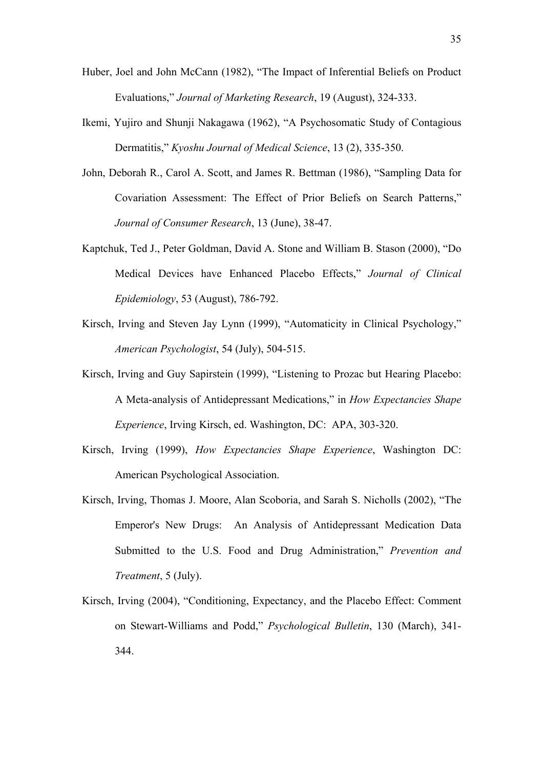- Huber, Joel and John McCann (1982), "The Impact of Inferential Beliefs on Product Evaluations," *Journal of Marketing Research*, 19 (August), 324-333.
- Ikemi, Yujiro and Shunji Nakagawa (1962), "A Psychosomatic Study of Contagious Dermatitis," *Kyoshu Journal of Medical Science*, 13 (2), 335-350.
- John, Deborah R., Carol A. Scott, and James R. Bettman (1986), "Sampling Data for Covariation Assessment: The Effect of Prior Beliefs on Search Patterns," *Journal of Consumer Research*, 13 (June), 38-47.
- Kaptchuk, Ted J., Peter Goldman, David A. Stone and William B. Stason (2000), "Do Medical Devices have Enhanced Placebo Effects," *Journal of Clinical Epidemiology*, 53 (August), 786-792.
- Kirsch, Irving and Steven Jay Lynn (1999), "Automaticity in Clinical Psychology," *American Psychologist*, 54 (July), 504-515.
- Kirsch, Irving and Guy Sapirstein (1999), "Listening to Prozac but Hearing Placebo: A Meta-analysis of Antidepressant Medications," in *How Expectancies Shape Experience*, Irving Kirsch, ed. Washington, DC: APA, 303-320.
- Kirsch, Irving (1999), *How Expectancies Shape Experience*, Washington DC: American Psychological Association.
- Kirsch, Irving, Thomas J. Moore, Alan Scoboria, and Sarah S. Nicholls (2002), "The Emperor's New Drugs: An Analysis of Antidepressant Medication Data Submitted to the U.S. Food and Drug Administration," *Prevention and Treatment*, 5 (July).
- Kirsch, Irving (2004), "Conditioning, Expectancy, and the Placebo Effect: Comment on Stewart-Williams and Podd," *Psychological Bulletin*, 130 (March), 341- 344.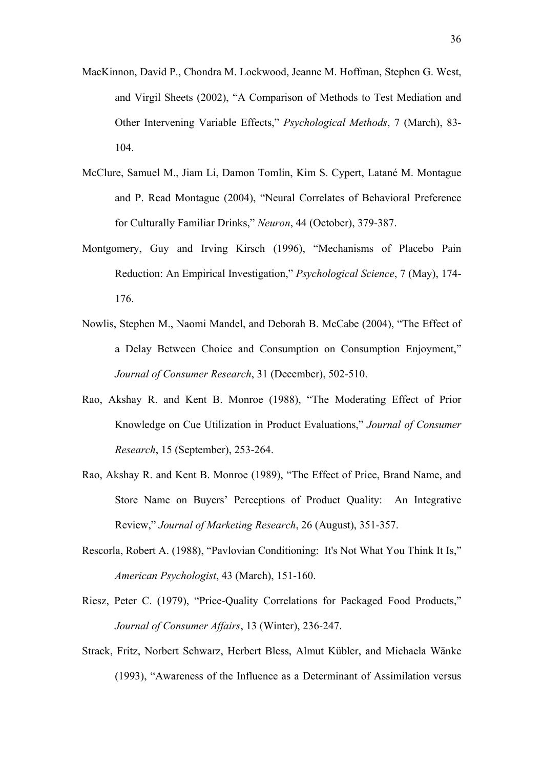- MacKinnon, David P., Chondra M. Lockwood, Jeanne M. Hoffman, Stephen G. West, and Virgil Sheets (2002), "A Comparison of Methods to Test Mediation and Other Intervening Variable Effects," *Psychological Methods*, 7 (March), 83- 104.
- McClure, Samuel M., Jiam Li, Damon Tomlin, Kim S. Cypert, Latané M. Montague and P. Read Montague (2004), "Neural Correlates of Behavioral Preference for Culturally Familiar Drinks," *Neuron*, 44 (October), 379-387.
- Montgomery, Guy and Irving Kirsch (1996), "Mechanisms of Placebo Pain Reduction: An Empirical Investigation," *Psychological Science*, 7 (May), 174- 176.
- Nowlis, Stephen M., Naomi Mandel, and Deborah B. McCabe (2004), "The Effect of a Delay Between Choice and Consumption on Consumption Enjoyment," *Journal of Consumer Research*, 31 (December), 502-510.
- Rao, Akshay R. and Kent B. Monroe (1988), "The Moderating Effect of Prior Knowledge on Cue Utilization in Product Evaluations," *Journal of Consumer Research*, 15 (September), 253-264.
- Rao, Akshay R. and Kent B. Monroe (1989), "The Effect of Price, Brand Name, and Store Name on Buyers' Perceptions of Product Quality: An Integrative Review," *Journal of Marketing Research*, 26 (August), 351-357.
- Rescorla, Robert A. (1988), "Pavlovian Conditioning: It's Not What You Think It Is," *American Psychologist*, 43 (March), 151-160.
- Riesz, Peter C. (1979), "Price-Quality Correlations for Packaged Food Products," *Journal of Consumer Affairs*, 13 (Winter), 236-247.
- Strack, Fritz, Norbert Schwarz, Herbert Bless, Almut Kübler, and Michaela Wänke (1993), "Awareness of the Influence as a Determinant of Assimilation versus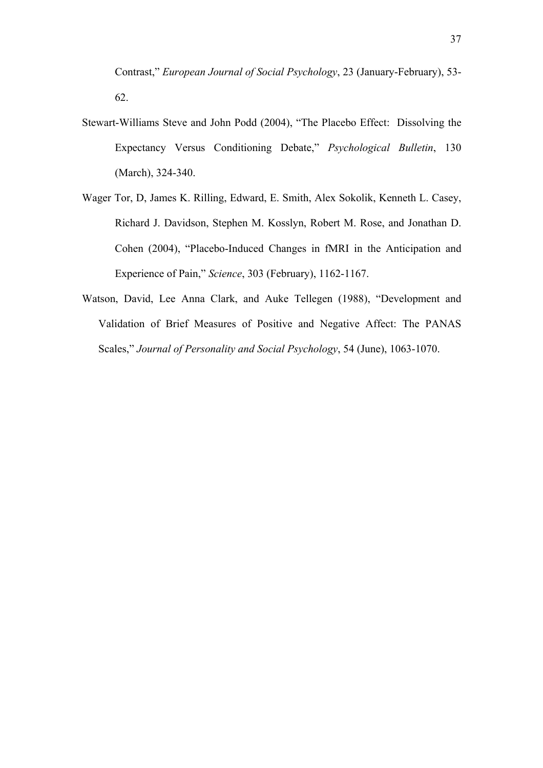Contrast," *European Journal of Social Psychology*, 23 (January-February), 53- 62.

- Stewart-Williams Steve and John Podd (2004), "The Placebo Effect: Dissolving the Expectancy Versus Conditioning Debate," *Psychological Bulletin*, 130 (March), 324-340.
- Wager Tor, D, James K. Rilling, Edward, E. Smith, Alex Sokolik, Kenneth L. Casey, Richard J. Davidson, Stephen M. Kosslyn, Robert M. Rose, and Jonathan D. Cohen (2004), "Placebo-Induced Changes in fMRI in the Anticipation and Experience of Pain," *Science*, 303 (February), 1162-1167.
- Watson, David, Lee Anna Clark, and Auke Tellegen (1988), "Development and Validation of Brief Measures of Positive and Negative Affect: The PANAS Scales," *Journal of Personality and Social Psychology*, 54 (June), 1063-1070.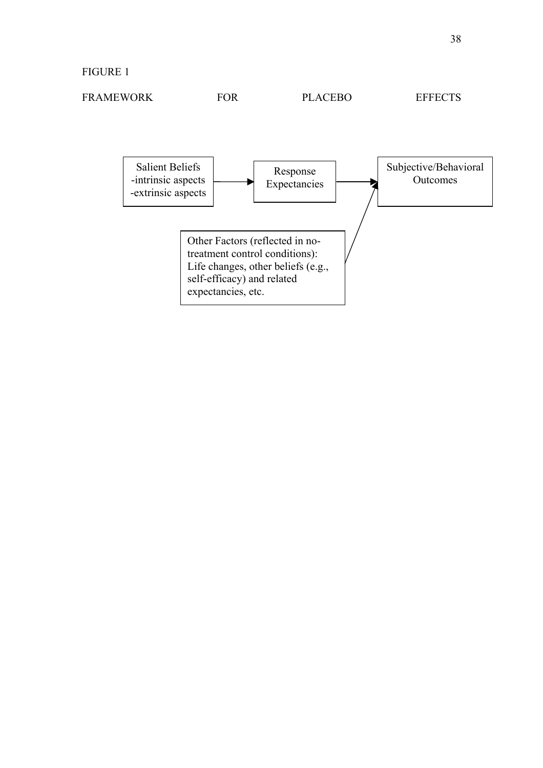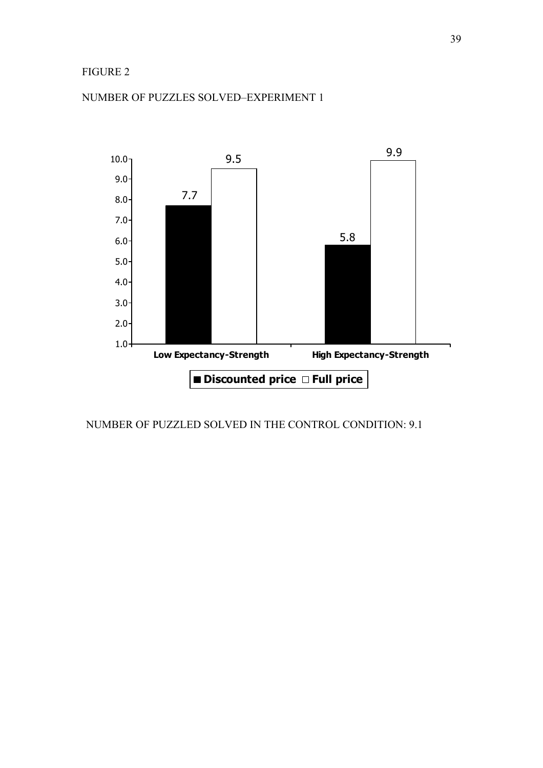# FIGURE 2



# NUMBER OF PUZZLES SOLVED–EXPERIMENT 1

NUMBER OF PUZZLED SOLVED IN THE CONTROL CONDITION: 9.1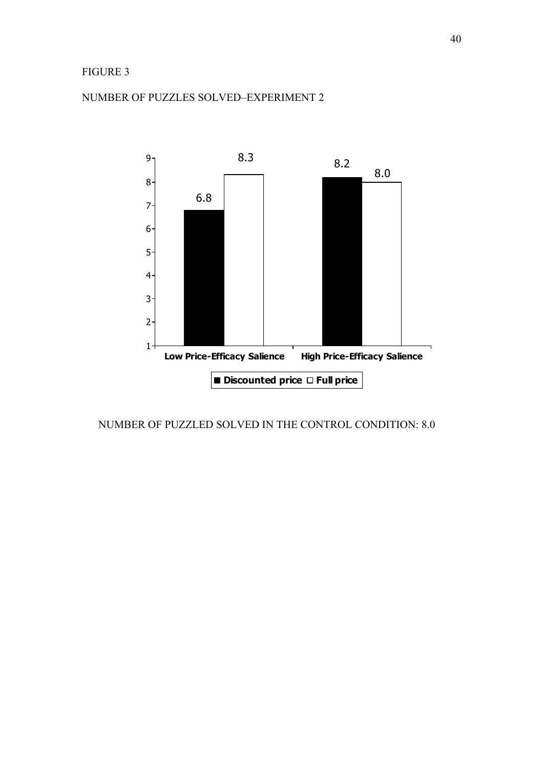# FIGURE 3



# NUMBER OF PUZZLES SOLVED–EXPERIMENT 2

NUMBER OF PUZZLED SOLVED IN THE CONTROL CONDITION: 8.0